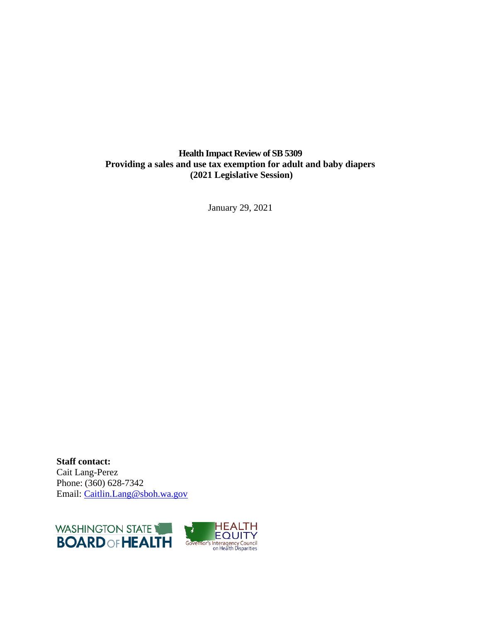### **Health Impact Review of SB 5309 Providing a sales and use tax exemption for adult and baby diapers (2021 Legislative Session)**

January 29, 2021

**Staff contact:** Cait Lang-Perez Phone: (360) 628-7342 Email: [Caitlin.Lang@sboh.wa.gov](mailto:Caitlin.Lang@sboh.wa.gov)

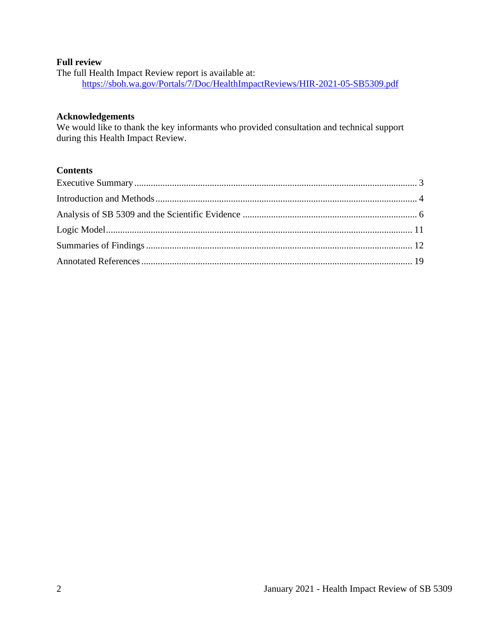### **Full review**

The full Health Impact Review report is available at: <https://sboh.wa.gov/Portals/7/Doc/HealthImpactReviews/HIR-2021-05-SB5309.pdf>

### **Acknowledgements**

We would like to thank the key informants who provided consultation and technical support during this Health Impact Review.

### **Contents**

<span id="page-1-0"></span>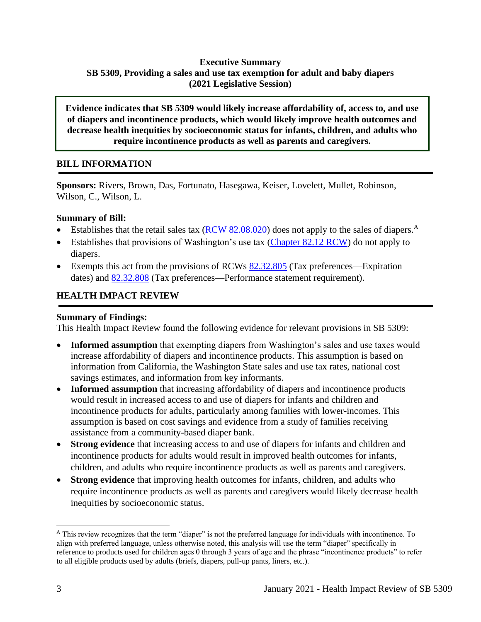# **Executive Summary SB 5309, Providing a sales and use tax exemption for adult and baby diapers (2021 Legislative Session)**

**Evidence indicates that SB 5309 would likely increase affordability of, access to, and use of diapers and incontinence products, which would likely improve health outcomes and decrease health inequities by socioeconomic status for infants, children, and adults who require incontinence products as well as parents and caregivers.**

### **BILL INFORMATION**

**Sponsors:** Rivers, Brown, Das, Fortunato, Hasegawa, Keiser, Lovelett, Mullet, Robinson, Wilson, C., Wilson, L.

### **Summary of Bill:**

- Establishes that the retail sales tax  $(RCW 82.08.020)$  does not apply to the sales of diapers.<sup>A</sup>
- Establishes that provisions of Washington's use tax [\(Chapter 82.12 RCW\)](https://app.leg.wa.gov/RCW/default.aspx?cite=82.12) do not apply to diapers.
- Exempts this act from the provisions of RCWs  $82.32.805$  (Tax preferences—Expiration dates) and  $82.32.808$  (Tax preferences—Performance statement requirement).

# **HEALTH IMPACT REVIEW**

#### **Summary of Findings:**

This Health Impact Review found the following evidence for relevant provisions in SB 5309:

- **Informed assumption** that exempting diapers from Washington's sales and use taxes would increase affordability of diapers and incontinence products. This assumption is based on information from California, the Washington State sales and use tax rates, national cost savings estimates, and information from key informants.
- **Informed assumption** that increasing affordability of diapers and incontinence products would result in increased access to and use of diapers for infants and children and incontinence products for adults, particularly among families with lower-incomes. This assumption is based on cost savings and evidence from a study of families receiving assistance from a community-based diaper bank.
- **Strong evidence** that increasing access to and use of diapers for infants and children and incontinence products for adults would result in improved health outcomes for infants, children, and adults who require incontinence products as well as parents and caregivers.
- **Strong evidence** that improving health outcomes for infants, children, and adults who require incontinence products as well as parents and caregivers would likely decrease health inequities by socioeconomic status.

<sup>A</sup> This review recognizes that the term "diaper" is not the preferred language for individuals with incontinence. To align with preferred language, unless otherwise noted, this analysis will use the term "diaper" specifically in reference to products used for children ages 0 through 3 years of age and the phrase "incontinence products" to refer to all eligible products used by adults (briefs, diapers, pull-up pants, liners, etc.).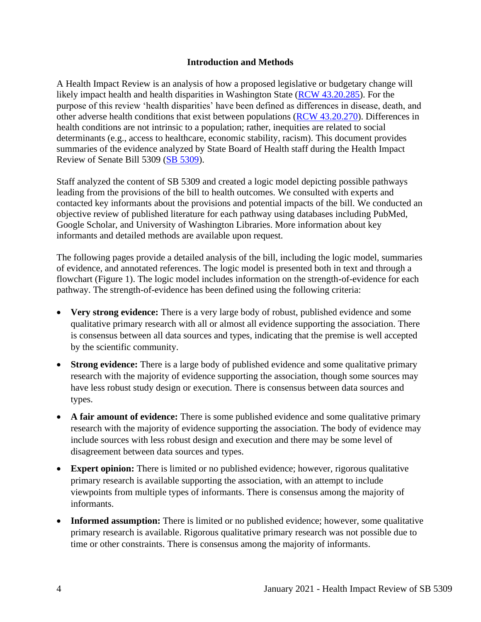#### **Introduction and Methods**

<span id="page-3-0"></span>A Health Impact Review is an analysis of how a proposed legislative or budgetary change will likely impact health and health disparities in Washington State [\(RCW 43.20.285\)](http://apps.leg.wa.gov/rcw/default.aspx?cite=43.20.285). For the purpose of this review 'health disparities' have been defined as differences in disease, death, and other adverse health conditions that exist between populations [\(RCW 43.20.270\)](http://apps.leg.wa.gov/rcw/default.aspx?cite=43.20.270). Differences in health conditions are not intrinsic to a population; rather, inequities are related to social determinants (e.g., access to healthcare, economic stability, racism). This document provides summaries of the evidence analyzed by State Board of Health staff during the Health Impact Review of Senate Bill 5309 [\(SB 5309\)](https://app.leg.wa.gov/billsummary?BillNumber=5309&Year=2021&Initiative=false).

Staff analyzed the content of SB 5309 and created a logic model depicting possible pathways leading from the provisions of the bill to health outcomes. We consulted with experts and contacted key informants about the provisions and potential impacts of the bill. We conducted an objective review of published literature for each pathway using databases including PubMed, Google Scholar, and University of Washington Libraries. More information about key informants and detailed methods are available upon request.

The following pages provide a detailed analysis of the bill, including the logic model, summaries of evidence, and annotated references. The logic model is presented both in text and through a flowchart (Figure 1). The logic model includes information on the strength-of-evidence for each pathway. The strength-of-evidence has been defined using the following criteria:

- **Very strong evidence:** There is a very large body of robust, published evidence and some qualitative primary research with all or almost all evidence supporting the association. There is consensus between all data sources and types, indicating that the premise is well accepted by the scientific community.
- **Strong evidence:** There is a large body of published evidence and some qualitative primary research with the majority of evidence supporting the association, though some sources may have less robust study design or execution. There is consensus between data sources and types.
- A fair amount of evidence: There is some published evidence and some qualitative primary research with the majority of evidence supporting the association. The body of evidence may include sources with less robust design and execution and there may be some level of disagreement between data sources and types.
- **Expert opinion:** There is limited or no published evidence; however, rigorous qualitative primary research is available supporting the association, with an attempt to include viewpoints from multiple types of informants. There is consensus among the majority of informants.
- **Informed assumption:** There is limited or no published evidence; however, some qualitative primary research is available. Rigorous qualitative primary research was not possible due to time or other constraints. There is consensus among the majority of informants.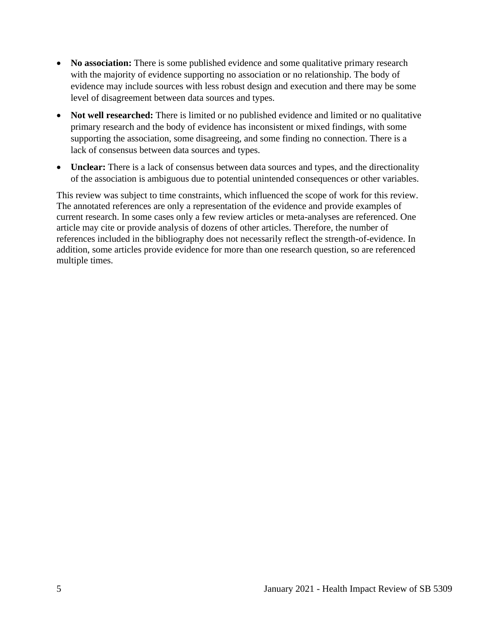- **No association:** There is some published evidence and some qualitative primary research with the majority of evidence supporting no association or no relationship. The body of evidence may include sources with less robust design and execution and there may be some level of disagreement between data sources and types.
- **Not well researched:** There is limited or no published evidence and limited or no qualitative primary research and the body of evidence has inconsistent or mixed findings, with some supporting the association, some disagreeing, and some finding no connection. There is a lack of consensus between data sources and types.
- **Unclear:** There is a lack of consensus between data sources and types, and the directionality of the association is ambiguous due to potential unintended consequences or other variables.

This review was subject to time constraints, which influenced the scope of work for this review. The annotated references are only a representation of the evidence and provide examples of current research. In some cases only a few review articles or meta-analyses are referenced. One article may cite or provide analysis of dozens of other articles. Therefore, the number of references included in the bibliography does not necessarily reflect the strength-of-evidence. In addition, some articles provide evidence for more than one research question, so are referenced multiple times.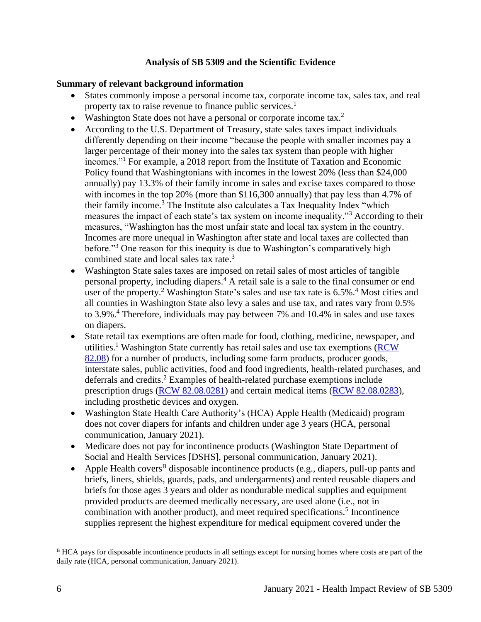### **Analysis of SB 5309 and the Scientific Evidence**

### <span id="page-5-0"></span>**Summary of relevant background information**

- States commonly impose a personal income tax, corporate income tax, sales tax, and real property tax to raise revenue to finance public services.<sup>1</sup>
- Washington State does not have a personal or corporate income tax.<sup>2</sup>
- According to the U.S. Department of Treasury, state sales taxes impact individuals differently depending on their income "because the people with smaller incomes pay a larger percentage of their money into the sales tax system than people with higher incomes."<sup>1</sup> For example, a 2018 report from the Institute of Taxation and Economic Policy found that Washingtonians with incomes in the lowest 20% (less than \$24,000 annually) pay 13.3% of their family income in sales and excise taxes compared to those with incomes in the top 20% (more than \$116,300 annually) that pay less than 4.7% of their family income.<sup>3</sup> The Institute also calculates a Tax Inequality Index "which measures the impact of each state's tax system on income inequality."<sup>3</sup> According to their measures, "Washington has the most unfair state and local tax system in the country. Incomes are more unequal in Washington after state and local taxes are collected than before."<sup>3</sup> One reason for this inequity is due to Washington's comparatively high combined state and local sales tax rate.<sup>3</sup>
- Washington State sales taxes are imposed on retail sales of most articles of tangible personal property, including diapers.<sup>4</sup> A retail sale is a sale to the final consumer or end user of the property.<sup>2</sup> Washington State's sales and use tax rate is  $6.5\%$ .<sup>4</sup> Most cities and all counties in Washington State also levy a sales and use tax, and rates vary from 0.5% to 3.9%.<sup>4</sup> Therefore, individuals may pay between 7% and 10.4% in sales and use taxes on diapers.
- State retail tax exemptions are often made for food, clothing, medicine, newspaper, and utilities.<sup>1</sup> Washington State currently has retail sales and use tax exemptions (RCW) [82.08\)](https://app.leg.wa.gov/RCW/default.aspx?cite=82.08) for a number of products, including some farm products, producer goods, interstate sales, public activities, food and food ingredients, health-related purchases, and deferrals and credits.<sup>2</sup> Examples of health-related purchase exemptions include prescription drugs [\(RCW 82.08.0281\)](https://apps.leg.wa.gov/rcw/default.aspx?cite=82.08.0281) and certain medical items [\(RCW 82.08.0283\)](https://app.leg.wa.gov/RCW/default.aspx?cite=82.08.0283), including prosthetic devices and oxygen.
- Washington State Health Care Authority's (HCA) Apple Health (Medicaid) program does not cover diapers for infants and children under age 3 years (HCA, personal communication, January 2021).
- Medicare does not pay for incontinence products (Washington State Department of Social and Health Services [DSHS], personal communication, January 2021).
- Apple Health covers<sup>B</sup> disposable incontinence products (e.g., diapers, pull-up pants and briefs, liners, shields, guards, pads, and undergarments) and rented reusable diapers and briefs for those ages 3 years and older as nondurable medical supplies and equipment provided products are deemed medically necessary, are used alone (i.e., not in combination with another product), and meet required specifications.<sup>5</sup> Incontinence supplies represent the highest expenditure for medical equipment covered under the

B HCA pays for disposable incontinence products in all settings except for nursing homes where costs are part of the daily rate (HCA, personal communication, January 2021).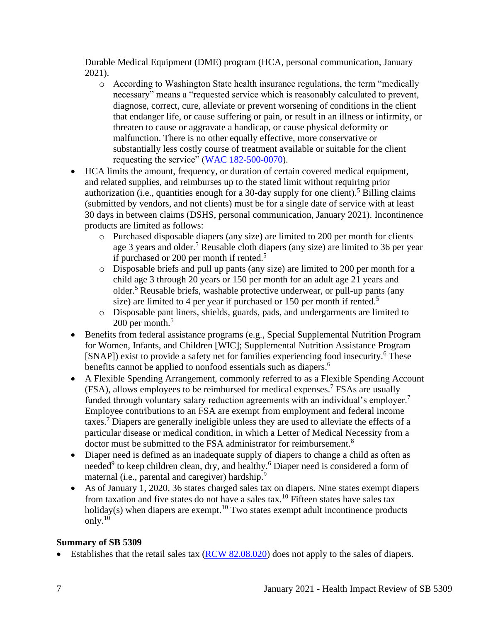Durable Medical Equipment (DME) program (HCA, personal communication, January 2021).

- o According to Washington State health insurance regulations, the term "medically necessary" means a "requested service which is reasonably calculated to prevent, diagnose, correct, cure, alleviate or prevent worsening of conditions in the client that endanger life, or cause suffering or pain, or result in an illness or infirmity, or threaten to cause or aggravate a handicap, or cause physical deformity or malfunction. There is no other equally effective, more conservative or substantially less costly course of treatment available or suitable for the client requesting the service" [\(WAC 182-500-0070\)](https://apps.leg.wa.gov/wac/default.aspx?cite=182-500-0070).
- HCA limits the amount, frequency, or duration of certain covered medical equipment, and related supplies, and reimburses up to the stated limit without requiring prior authorization (i.e., quantities enough for a 30-day supply for one client).<sup>5</sup> Billing claims (submitted by vendors, and not clients) must be for a single date of service with at least 30 days in between claims (DSHS, personal communication, January 2021). Incontinence products are limited as follows:
	- o Purchased disposable diapers (any size) are limited to 200 per month for clients age 3 years and older.<sup>5</sup> Reusable cloth diapers (any size) are limited to 36 per year if purchased or 200 per month if rented.<sup>5</sup>
	- o Disposable briefs and pull up pants (any size) are limited to 200 per month for a child age 3 through 20 years or 150 per month for an adult age 21 years and older.<sup>5</sup> Reusable briefs, washable protective underwear, or pull-up pants (any size) are limited to 4 per year if purchased or 150 per month if rented.<sup>5</sup>
	- o Disposable pant liners, shields, guards, pads, and undergarments are limited to 200 per month.<sup>5</sup>
- Benefits from federal assistance programs (e.g., Special Supplemental Nutrition Program for Women, Infants, and Children [WIC]; Supplemental Nutrition Assistance Program [SNAP]) exist to provide a safety net for families experiencing food insecurity.<sup>6</sup> These benefits cannot be applied to nonfood essentials such as diapers.<sup>6</sup>
- A Flexible Spending Arrangement, commonly referred to as a Flexible Spending Account  $(FSA)$ , allows employees to be reimbursed for medical expenses.<sup>7</sup> FSAs are usually funded through voluntary salary reduction agreements with an individual's employer.<sup>7</sup> Employee contributions to an FSA are exempt from employment and federal income taxes.<sup>7</sup> Diapers are generally ineligible unless they are used to alleviate the effects of a particular disease or medical condition, in which a Letter of Medical Necessity from a doctor must be submitted to the FSA administrator for reimbursement.<sup>8</sup>
- Diaper need is defined as an inadequate supply of diapers to change a child as often as needed<sup>9</sup> to keep children clean, dry, and healthy.<sup>6</sup> Diaper need is considered a form of maternal (i.e., parental and caregiver) hardship.<sup>9</sup>
- As of January 1, 2020, 36 states charged sales tax on diapers. Nine states exempt diapers from taxation and five states do not have a sales tax.<sup>10</sup> Fifteen states have sales tax holiday(s) when diapers are exempt.<sup>10</sup> Two states exempt adult incontinence products only. $10$

# **Summary of SB 5309**

• Establishes that the retail sales tax  $(RCW 82.08.020)$  does not apply to the sales of diapers.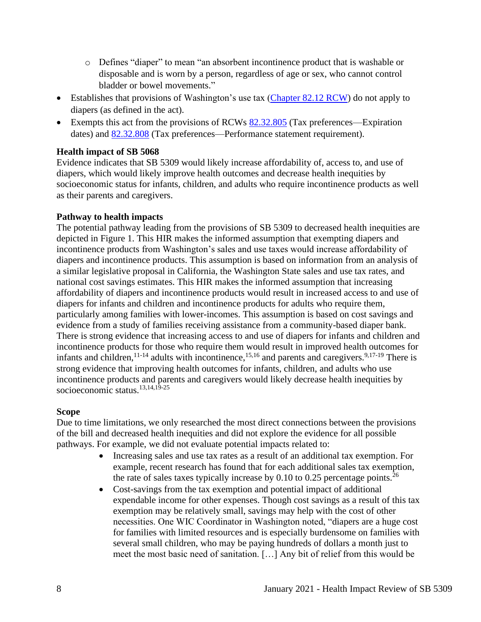- o Defines "diaper" to mean "an absorbent incontinence product that is washable or disposable and is worn by a person, regardless of age or sex, who cannot control bladder or bowel movements."
- Establishes that provisions of Washington's use tax [\(Chapter 82.12 RCW\)](https://app.leg.wa.gov/RCW/default.aspx?cite=82.12) do not apply to diapers (as defined in the act).
- Exempts this act from the provisions of RCWs [82.32.805](https://app.leg.wa.gov/RCW/default.aspx?cite=82.32.805) (Tax preferences—Expiration dates) and [82.32.808](https://app.leg.wa.gov/RCW/default.aspx?cite=82.32.808) (Tax preferences—Performance statement requirement).

### **Health impact of SB 5068**

Evidence indicates that SB 5309 would likely increase affordability of, access to, and use of diapers, which would likely improve health outcomes and decrease health inequities by socioeconomic status for infants, children, and adults who require incontinence products as well as their parents and caregivers.

### **Pathway to health impacts**

The potential pathway leading from the provisions of SB 5309 to decreased health inequities are depicted in Figure 1. This HIR makes the informed assumption that exempting diapers and incontinence products from Washington's sales and use taxes would increase affordability of diapers and incontinence products. This assumption is based on information from an analysis of a similar legislative proposal in California, the Washington State sales and use tax rates, and national cost savings estimates. This HIR makes the informed assumption that increasing affordability of diapers and incontinence products would result in increased access to and use of diapers for infants and children and incontinence products for adults who require them, particularly among families with lower-incomes. This assumption is based on cost savings and evidence from a study of families receiving assistance from a community-based diaper bank. There is strong evidence that increasing access to and use of diapers for infants and children and incontinence products for those who require them would result in improved health outcomes for infants and children,  $11-14$  adults with incontinence,  $15,16$  and parents and caregivers.  $9,17-19$  There is strong evidence that improving health outcomes for infants, children, and adults who use incontinence products and parents and caregivers would likely decrease health inequities by socioeconomic status.13,14,19-25

### **Scope**

Due to time limitations, we only researched the most direct connections between the provisions of the bill and decreased health inequities and did not explore the evidence for all possible pathways. For example, we did not evaluate potential impacts related to:

- Increasing sales and use tax rates as a result of an additional tax exemption. For example, recent research has found that for each additional sales tax exemption, the rate of sales taxes typically increase by  $0.10$  to  $0.25$  percentage points.<sup>26</sup>
- Cost-savings from the tax exemption and potential impact of additional expendable income for other expenses. Though cost savings as a result of this tax exemption may be relatively small, savings may help with the cost of other necessities. One WIC Coordinator in Washington noted, "diapers are a huge cost for families with limited resources and is especially burdensome on families with several small children, who may be paying hundreds of dollars a month just to meet the most basic need of sanitation. […] Any bit of relief from this would be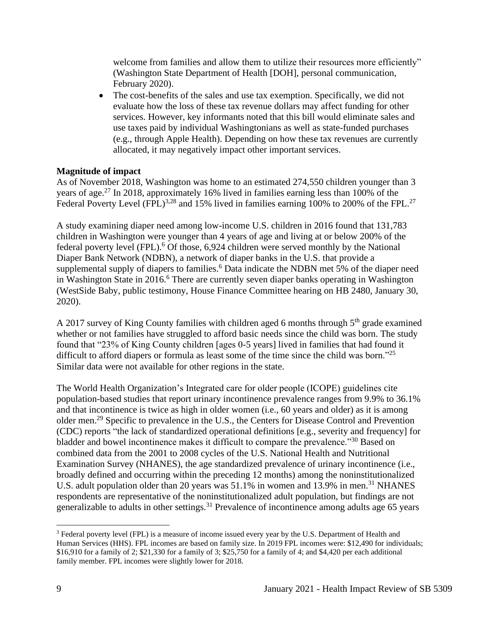welcome from families and allow them to utilize their resources more efficiently" (Washington State Department of Health [DOH], personal communication, February 2020).

• The cost-benefits of the sales and use tax exemption. Specifically, we did not evaluate how the loss of these tax revenue dollars may affect funding for other services. However, key informants noted that this bill would eliminate sales and use taxes paid by individual Washingtonians as well as state-funded purchases (e.g., through Apple Health). Depending on how these tax revenues are currently allocated, it may negatively impact other important services.

### **Magnitude of impact**

As of November 2018, Washington was home to an estimated 274,550 children younger than 3 years of age.<sup>27</sup> In 2018, approximately 16% lived in families earning less than 100% of the Federal Poverty Level (FPL)<sup>3,28</sup> and 15% lived in families earning 100% to 200% of the FPL.<sup>27</sup>

A study examining diaper need among low-income U.S. children in 2016 found that 131,783 children in Washington were younger than 4 years of age and living at or below 200% of the federal poverty level (FPL).<sup>6</sup> Of those, 6,924 children were served monthly by the National Diaper Bank Network (NDBN), a network of diaper banks in the U.S. that provide a supplemental supply of diapers to families.<sup>6</sup> Data indicate the NDBN met 5% of the diaper need in Washington State in 2016.<sup>6</sup> There are currently seven diaper banks operating in Washington (WestSide Baby, public testimony, House Finance Committee hearing on HB 2480, January 30, 2020).

A 2017 survey of King County families with children aged 6 months through  $5<sup>th</sup>$  grade examined whether or not families have struggled to afford basic needs since the child was born. The study found that "23% of King County children [ages 0-5 years] lived in families that had found it difficult to afford diapers or formula as least some of the time since the child was born."<sup>25</sup> Similar data were not available for other regions in the state.

The World Health Organization's Integrated care for older people (ICOPE) guidelines cite population-based studies that report urinary incontinence prevalence ranges from 9.9% to 36.1% and that incontinence is twice as high in older women (i.e., 60 years and older) as it is among older men.<sup>29</sup> Specific to prevalence in the U.S., the Centers for Disease Control and Prevention (CDC) reports "the lack of standardized operational definitions [e.g., severity and frequency] for bladder and bowel incontinence makes it difficult to compare the prevalence."<sup>30</sup> Based on combined data from the 2001 to 2008 cycles of the U.S. National Health and Nutritional Examination Survey (NHANES), the age standardized prevalence of urinary incontinence (i.e., broadly defined and occurring within the preceding 12 months) among the noninstitutionalized U.S. adult population older than 20 years was  $51.1\%$  in women and 13.9% in men.<sup>31</sup> NHANES respondents are representative of the noninstitutionalized adult population, but findings are not generalizable to adults in other settings.<sup>31</sup> Prevalence of incontinence among adults age 65 years

<sup>&</sup>lt;sup>3</sup> Federal poverty level (FPL) is a measure of income issued every year by the U.S. Department of Health and Human Services (HHS). FPL incomes are based on family size. In 2019 FPL incomes were: \$12,490 for individuals; \$16,910 for a family of 2; \$21,330 for a family of 3; \$25,750 for a family of 4; and \$4,420 per each additional family member. FPL incomes were slightly lower for 2018.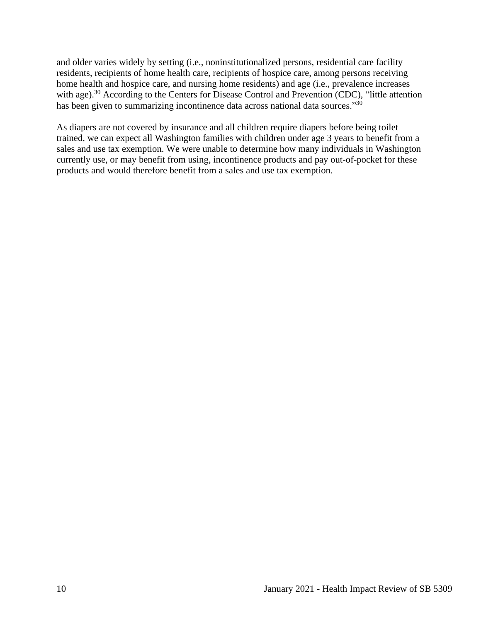and older varies widely by setting (i.e., noninstitutionalized persons, residential care facility residents, recipients of home health care, recipients of hospice care, among persons receiving home health and hospice care, and nursing home residents) and age (i.e., prevalence increases with age).<sup>30</sup> According to the Centers for Disease Control and Prevention (CDC), "little attention has been given to summarizing incontinence data across national data sources."<sup>30</sup>

As diapers are not covered by insurance and all children require diapers before being toilet trained, we can expect all Washington families with children under age 3 years to benefit from a sales and use tax exemption. We were unable to determine how many individuals in Washington currently use, or may benefit from using, incontinence products and pay out-of-pocket for these products and would therefore benefit from a sales and use tax exemption.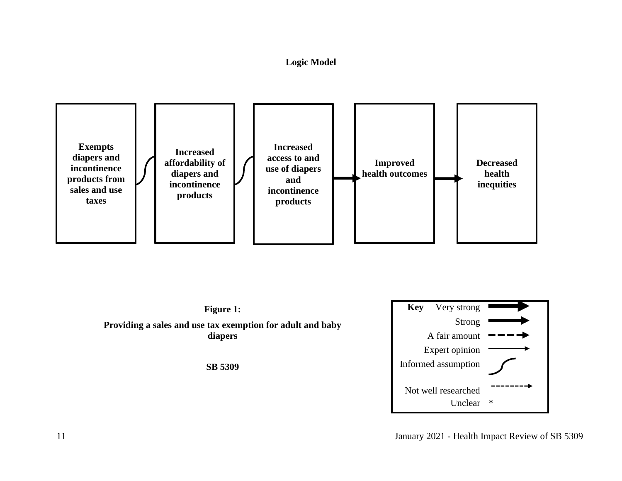### **Logic Model**



<span id="page-10-0"></span>

11 January 2021 - Health Impact Review of SB 5309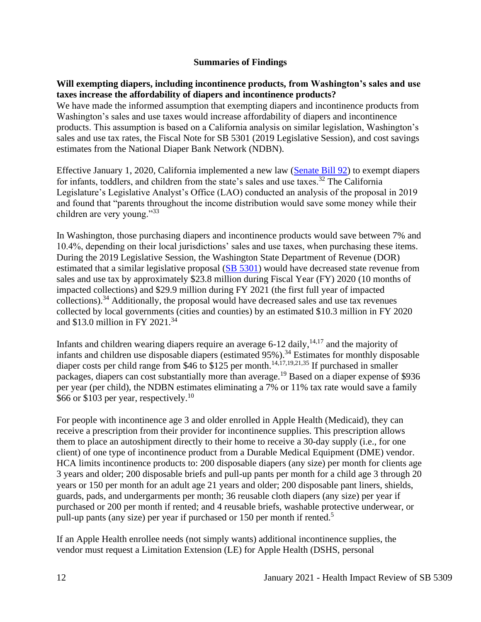### **Summaries of Findings**

### <span id="page-11-0"></span>**Will exempting diapers, including incontinence products, from Washington's sales and use taxes increase the affordability of diapers and incontinence products?**

We have made the informed assumption that exempting diapers and incontinence products from Washington's sales and use taxes would increase affordability of diapers and incontinence products. This assumption is based on a California analysis on similar legislation, Washington's sales and use tax rates, the Fiscal Note for SB 5301 (2019 Legislative Session), and cost savings estimates from the National Diaper Bank Network (NDBN).

Effective January 1, 2020, California implemented a new law [\(Senate Bill 92\)](https://leginfo.legislature.ca.gov/faces/billTextClient.xhtml?bill_id=201920200SB92) to exempt diapers for infants, toddlers, and children from the state's sales and use taxes.<sup>32</sup> The California Legislature's Legislative Analyst's Office (LAO) conducted an analysis of the proposal in 2019 and found that "parents throughout the income distribution would save some money while their children are very young."<sup>33</sup>

In Washington, those purchasing diapers and incontinence products would save between 7% and 10.4%, depending on their local jurisdictions' sales and use taxes, when purchasing these items. During the 2019 Legislative Session, the Washington State Department of Revenue (DOR) estimated that a similar legislative proposal [\(SB 5301\)](https://app.leg.wa.gov/billsummary?BillNumber=5301&Initiative=false&Year=2019) would have decreased state revenue from sales and use tax by approximately \$23.8 million during Fiscal Year (FY) 2020 (10 months of impacted collections) and \$29.9 million during FY 2021 (the first full year of impacted collections).<sup>34</sup> Additionally, the proposal would have decreased sales and use tax revenues collected by local governments (cities and counties) by an estimated \$10.3 million in FY 2020 and \$13.0 million in FY 2021. 34

Infants and children wearing diapers require an average  $6-12$  daily,<sup>14,17</sup> and the majority of infants and children use disposable diapers (estimated 95%).<sup>34</sup> Estimates for monthly disposable diaper costs per child range from \$46 to \$125 per month.<sup>14,17,19,21,35</sup> If purchased in smaller packages, diapers can cost substantially more than average.<sup>19</sup> Based on a diaper expense of \$936 per year (per child), the NDBN estimates eliminating a 7% or 11% tax rate would save a family \$66 or \$103 per year, respectively.<sup>10</sup>

For people with incontinence age 3 and older enrolled in Apple Health (Medicaid), they can receive a prescription from their provider for incontinence supplies. This prescription allows them to place an autoshipment directly to their home to receive a 30-day supply (i.e., for one client) of one type of incontinence product from a Durable Medical Equipment (DME) vendor. HCA limits incontinence products to: 200 disposable diapers (any size) per month for clients age 3 years and older; 200 disposable briefs and pull-up pants per month for a child age 3 through 20 years or 150 per month for an adult age 21 years and older; 200 disposable pant liners, shields, guards, pads, and undergarments per month; 36 reusable cloth diapers (any size) per year if purchased or 200 per month if rented; and 4 reusable briefs, washable protective underwear, or pull-up pants (any size) per year if purchased or 150 per month if rented.<sup>5</sup>

If an Apple Health enrollee needs (not simply wants) additional incontinence supplies, the vendor must request a Limitation Extension (LE) for Apple Health (DSHS, personal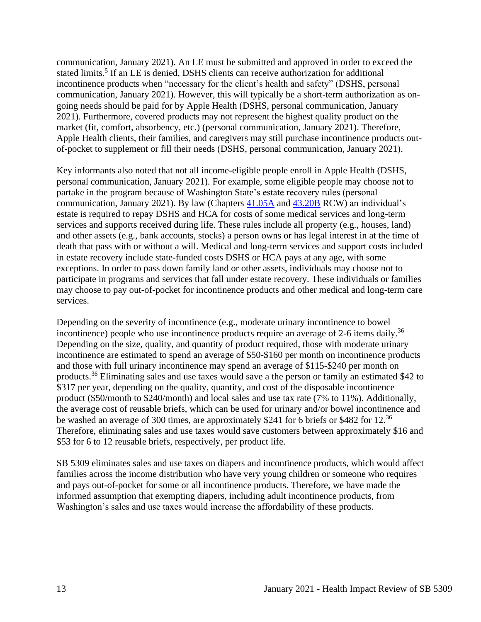communication, January 2021). An LE must be submitted and approved in order to exceed the stated limits.<sup>5</sup> If an LE is denied, DSHS clients can receive authorization for additional incontinence products when "necessary for the client's health and safety" (DSHS, personal communication, January 2021). However, this will typically be a short-term authorization as ongoing needs should be paid for by Apple Health (DSHS, personal communication, January 2021). Furthermore, covered products may not represent the highest quality product on the market (fit, comfort, absorbency, etc.) (personal communication, January 2021). Therefore, Apple Health clients, their families, and caregivers may still purchase incontinence products outof-pocket to supplement or fill their needs (DSHS, personal communication, January 2021).

Key informants also noted that not all income-eligible people enroll in Apple Health (DSHS, personal communication, January 2021). For example, some eligible people may choose not to partake in the program because of Washington State's estate recovery rules (personal communication, January 2021). By law (Chapters [41.05A](https://app.leg.wa.gov/RCW/default.aspx?cite=41.05A&full=true) and [43.20B](https://app.leg.wa.gov/RCW/default.aspx?cite=43.20B&full=true) RCW) an individual's estate is required to repay DSHS and HCA for costs of some medical services and long-term services and supports received during life. These rules include all property (e.g., houses, land) and other assets (e.g., bank accounts, stocks) a person owns or has legal interest in at the time of death that pass with or without a will. Medical and long-term services and support costs included in estate recovery include state-funded costs DSHS or HCA pays at any age, with some exceptions. In order to pass down family land or other assets, individuals may choose not to participate in programs and services that fall under estate recovery. These individuals or families may choose to pay out-of-pocket for incontinence products and other medical and long-term care services.

Depending on the severity of incontinence (e.g., moderate urinary incontinence to bowel incontinence) people who use incontinence products require an average of 2-6 items daily.<sup>36</sup> Depending on the size, quality, and quantity of product required, those with moderate urinary incontinence are estimated to spend an average of \$50-\$160 per month on incontinence products and those with full urinary incontinence may spend an average of \$115-\$240 per month on products.<sup>36</sup> Eliminating sales and use taxes would save a the person or family an estimated \$42 to \$317 per year, depending on the quality, quantity, and cost of the disposable incontinence product (\$50/month to \$240/month) and local sales and use tax rate (7% to 11%). Additionally, the average cost of reusable briefs, which can be used for urinary and/or bowel incontinence and be washed an average of 300 times, are approximately \$241 for 6 briefs or \$482 for 12.<sup>36</sup> Therefore, eliminating sales and use taxes would save customers between approximately \$16 and \$53 for 6 to 12 reusable briefs, respectively, per product life.

SB 5309 eliminates sales and use taxes on diapers and incontinence products, which would affect families across the income distribution who have very young children or someone who requires and pays out-of-pocket for some or all incontinence products. Therefore, we have made the informed assumption that exempting diapers, including adult incontinence products, from Washington's sales and use taxes would increase the affordability of these products.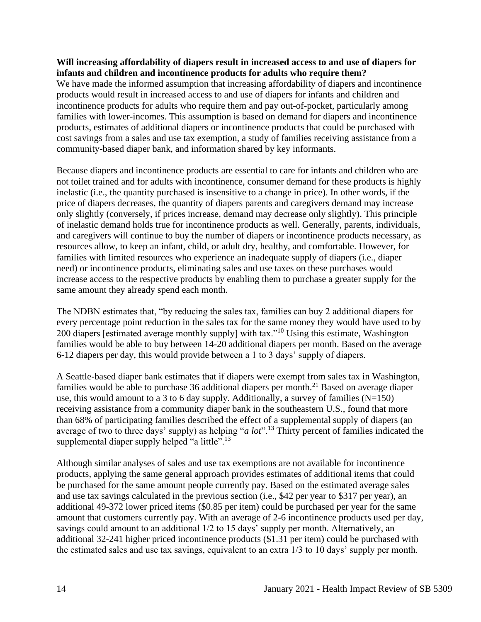#### **Will increasing affordability of diapers result in increased access to and use of diapers for infants and children and incontinence products for adults who require them?**

We have made the informed assumption that increasing affordability of diapers and incontinence products would result in increased access to and use of diapers for infants and children and incontinence products for adults who require them and pay out-of-pocket, particularly among families with lower-incomes. This assumption is based on demand for diapers and incontinence products, estimates of additional diapers or incontinence products that could be purchased with cost savings from a sales and use tax exemption, a study of families receiving assistance from a community-based diaper bank, and information shared by key informants.

Because diapers and incontinence products are essential to care for infants and children who are not toilet trained and for adults with incontinence, consumer demand for these products is highly inelastic (i.e., the quantity purchased is insensitive to a change in price). In other words, if the price of diapers decreases, the quantity of diapers parents and caregivers demand may increase only slightly (conversely, if prices increase, demand may decrease only slightly). This principle of inelastic demand holds true for incontinence products as well. Generally, parents, individuals, and caregivers will continue to buy the number of diapers or incontinence products necessary, as resources allow, to keep an infant, child, or adult dry, healthy, and comfortable. However, for families with limited resources who experience an inadequate supply of diapers (i.e., diaper need) or incontinence products, eliminating sales and use taxes on these purchases would increase access to the respective products by enabling them to purchase a greater supply for the same amount they already spend each month.

The NDBN estimates that, "by reducing the sales tax, families can buy 2 additional diapers for every percentage point reduction in the sales tax for the same money they would have used to by 200 diapers [estimated average monthly supply] with tax."<sup>10</sup> Using this estimate, Washington families would be able to buy between 14-20 additional diapers per month. Based on the average 6-12 diapers per day, this would provide between a 1 to 3 days' supply of diapers.

A Seattle-based diaper bank estimates that if diapers were exempt from sales tax in Washington, families would be able to purchase 36 additional diapers per month.<sup>21</sup> Based on average diaper use, this would amount to a 3 to 6 day supply. Additionally, a survey of families  $(N=150)$ receiving assistance from a community diaper bank in the southeastern U.S., found that more than 68% of participating families described the effect of a supplemental supply of diapers (an average of two to three days' supply) as helping "*a lot*".<sup>13</sup> Thirty percent of families indicated the supplemental diaper supply helped "a little".<sup>13</sup>

Although similar analyses of sales and use tax exemptions are not available for incontinence products, applying the same general approach provides estimates of additional items that could be purchased for the same amount people currently pay. Based on the estimated average sales and use tax savings calculated in the previous section (i.e., \$42 per year to \$317 per year), an additional 49-372 lower priced items (\$0.85 per item) could be purchased per year for the same amount that customers currently pay. With an average of 2-6 incontinence products used per day, savings could amount to an additional 1/2 to 15 days' supply per month. Alternatively, an additional 32-241 higher priced incontinence products (\$1.31 per item) could be purchased with the estimated sales and use tax savings, equivalent to an extra 1/3 to 10 days' supply per month.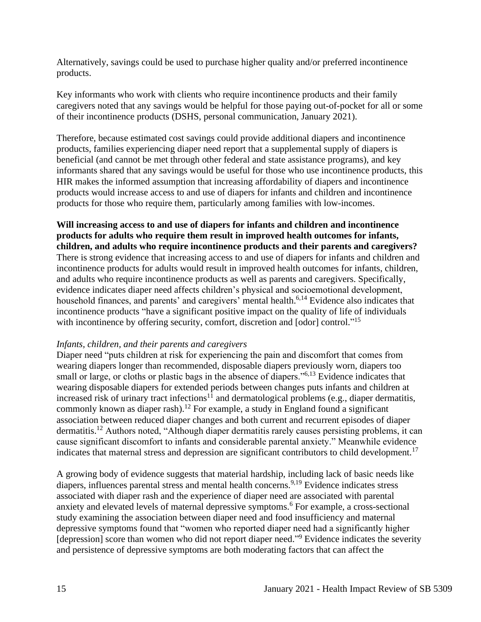Alternatively, savings could be used to purchase higher quality and/or preferred incontinence products.

Key informants who work with clients who require incontinence products and their family caregivers noted that any savings would be helpful for those paying out-of-pocket for all or some of their incontinence products (DSHS, personal communication, January 2021).

Therefore, because estimated cost savings could provide additional diapers and incontinence products, families experiencing diaper need report that a supplemental supply of diapers is beneficial (and cannot be met through other federal and state assistance programs), and key informants shared that any savings would be useful for those who use incontinence products, this HIR makes the informed assumption that increasing affordability of diapers and incontinence products would increase access to and use of diapers for infants and children and incontinence products for those who require them, particularly among families with low-incomes.

**Will increasing access to and use of diapers for infants and children and incontinence products for adults who require them result in improved health outcomes for infants, children, and adults who require incontinence products and their parents and caregivers?** There is strong evidence that increasing access to and use of diapers for infants and children and incontinence products for adults would result in improved health outcomes for infants, children, and adults who require incontinence products as well as parents and caregivers. Specifically, evidence indicates diaper need affects children's physical and socioemotional development, household finances, and parents' and caregivers' mental health.<sup>6,14</sup> Evidence also indicates that incontinence products "have a significant positive impact on the quality of life of individuals with incontinence by offering security, comfort, discretion and [odor] control."<sup>15</sup>

#### *Infants, children, and their parents and caregivers*

Diaper need "puts children at risk for experiencing the pain and discomfort that comes from wearing diapers longer than recommended, disposable diapers previously worn, diapers too small or large, or cloths or plastic bags in the absence of diapers."<sup>6,13</sup> Evidence indicates that wearing disposable diapers for extended periods between changes puts infants and children at increased risk of urinary tract infections<sup>11</sup> and dermatological problems (e.g., diaper dermatitis, commonly known as diaper rash).<sup>12</sup> For example, a study in England found a significant association between reduced diaper changes and both current and recurrent episodes of diaper dermatitis.<sup>12</sup> Authors noted, "Although diaper dermatitis rarely causes persisting problems, it can cause significant discomfort to infants and considerable parental anxiety." Meanwhile evidence indicates that maternal stress and depression are significant contributors to child development.<sup>17</sup>

A growing body of evidence suggests that material hardship, including lack of basic needs like diapers, influences parental stress and mental health concerns.<sup>9,19</sup> Evidence indicates stress associated with diaper rash and the experience of diaper need are associated with parental anxiety and elevated levels of maternal depressive symptoms.<sup>6</sup> For example, a cross-sectional study examining the association between diaper need and food insufficiency and maternal depressive symptoms found that "women who reported diaper need had a significantly higher [depression] score than women who did not report diaper need."<sup>9</sup> Evidence indicates the severity and persistence of depressive symptoms are both moderating factors that can affect the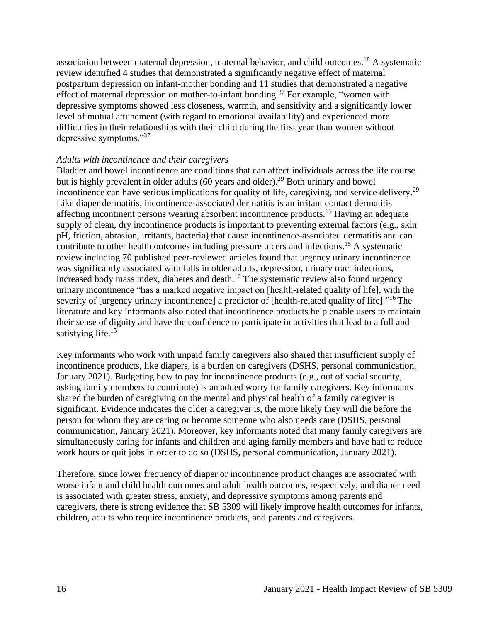association between maternal depression, maternal behavior, and child outcomes.<sup>18</sup> A systematic review identified 4 studies that demonstrated a significantly negative effect of maternal postpartum depression on infant-mother bonding and 11 studies that demonstrated a negative effect of maternal depression on mother-to-infant bonding.<sup>37</sup> For example, "women with depressive symptoms showed less closeness, warmth, and sensitivity and a significantly lower level of mutual attunement (with regard to emotional availability) and experienced more difficulties in their relationships with their child during the first year than women without depressive symptoms."<sup>37</sup>

#### *Adults with incontinence and their caregivers*

Bladder and bowel incontinence are conditions that can affect individuals across the life course but is highly prevalent in older adults  $(60 \text{ years and older})^{29}$  Both urinary and bowel incontinence can have serious implications for quality of life, caregiving, and service delivery.<sup>29</sup> Like diaper dermatitis, incontinence-associated dermatitis is an irritant contact dermatitis affecting incontinent persons wearing absorbent incontinence products.<sup>15</sup> Having an adequate supply of clean, dry incontinence products is important to preventing external factors (e.g., skin pH, friction, abrasion, irritants, bacteria) that cause incontinence-associated dermatitis and can contribute to other health outcomes including pressure ulcers and infections.<sup>15</sup> A systematic review including 70 published peer-reviewed articles found that urgency urinary incontinence was significantly associated with falls in older adults, depression, urinary tract infections, increased body mass index, diabetes and death.<sup>16</sup> The systematic review also found urgency urinary incontinence "has a marked negative impact on [health-related quality of life], with the severity of [urgency urinary incontinence] a predictor of [health-related quality of life]."<sup>16</sup> The literature and key informants also noted that incontinence products help enable users to maintain their sense of dignity and have the confidence to participate in activities that lead to a full and satisfying life.<sup>15</sup>

Key informants who work with unpaid family caregivers also shared that insufficient supply of incontinence products, like diapers, is a burden on caregivers (DSHS, personal communication, January 2021). Budgeting how to pay for incontinence products (e.g., out of social security, asking family members to contribute) is an added worry for family caregivers. Key informants shared the burden of caregiving on the mental and physical health of a family caregiver is significant. Evidence indicates the older a caregiver is, the more likely they will die before the person for whom they are caring or become someone who also needs care (DSHS, personal communication, January 2021). Moreover, key informants noted that many family caregivers are simultaneously caring for infants and children and aging family members and have had to reduce work hours or quit jobs in order to do so (DSHS, personal communication, January 2021).

Therefore, since lower frequency of diaper or incontinence product changes are associated with worse infant and child health outcomes and adult health outcomes, respectively, and diaper need is associated with greater stress, anxiety, and depressive symptoms among parents and caregivers, there is strong evidence that SB 5309 will likely improve health outcomes for infants, children, adults who require incontinence products, and parents and caregivers.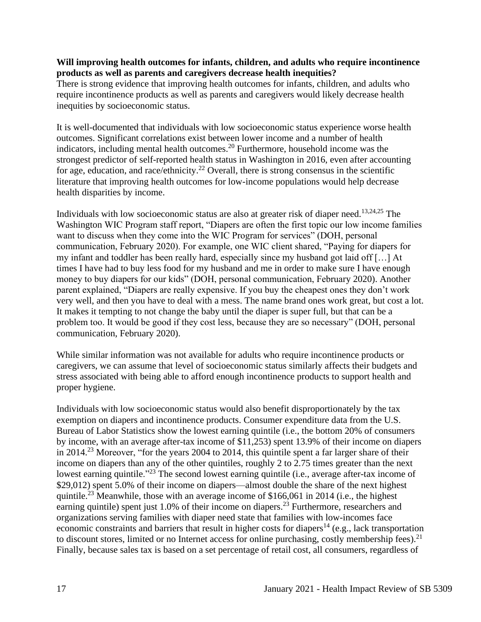#### **Will improving health outcomes for infants, children, and adults who require incontinence products as well as parents and caregivers decrease health inequities?**

There is strong evidence that improving health outcomes for infants, children, and adults who require incontinence products as well as parents and caregivers would likely decrease health inequities by socioeconomic status.

It is well-documented that individuals with low socioeconomic status experience worse health outcomes. Significant correlations exist between lower income and a number of health indicators, including mental health outcomes.<sup>20</sup> Furthermore, household income was the strongest predictor of self-reported health status in Washington in 2016, even after accounting for age, education, and race/ethnicity.<sup>22</sup> Overall, there is strong consensus in the scientific literature that improving health outcomes for low-income populations would help decrease health disparities by income.

Individuals with low socioeconomic status are also at greater risk of diaper need.<sup>13,24,25</sup> The Washington WIC Program staff report, "Diapers are often the first topic our low income families want to discuss when they come into the WIC Program for services" (DOH, personal communication, February 2020). For example, one WIC client shared, "Paying for diapers for my infant and toddler has been really hard, especially since my husband got laid off […] At times I have had to buy less food for my husband and me in order to make sure I have enough money to buy diapers for our kids" (DOH, personal communication, February 2020). Another parent explained, "Diapers are really expensive. If you buy the cheapest ones they don't work very well, and then you have to deal with a mess. The name brand ones work great, but cost a lot. It makes it tempting to not change the baby until the diaper is super full, but that can be a problem too. It would be good if they cost less, because they are so necessary" (DOH, personal communication, February 2020).

While similar information was not available for adults who require incontinence products or caregivers, we can assume that level of socioeconomic status similarly affects their budgets and stress associated with being able to afford enough incontinence products to support health and proper hygiene.

Individuals with low socioeconomic status would also benefit disproportionately by the tax exemption on diapers and incontinence products. Consumer expenditure data from the U.S. Bureau of Labor Statistics show the lowest earning quintile (i.e., the bottom 20% of consumers by income, with an average after-tax income of \$11,253) spent 13.9% of their income on diapers in 2014.<sup>23</sup> Moreover, "for the years 2004 to 2014, this quintile spent a far larger share of their income on diapers than any of the other quintiles, roughly 2 to 2.75 times greater than the next lowest earning quintile.<sup>223</sup> The second lowest earning quintile (i.e., average after-tax income of \$29,012) spent 5.0% of their income on diapers—almost double the share of the next highest quintile.<sup>23</sup> Meanwhile, those with an average income of \$166,061 in 2014 (i.e., the highest earning quintile) spent just 1.0% of their income on diapers.<sup>23</sup> Furthermore, researchers and organizations serving families with diaper need state that families with low-incomes face economic constraints and barriers that result in higher costs for diapers<sup>14</sup> (e.g., lack transportation to discount stores, limited or no Internet access for online purchasing, costly membership fees).<sup>21</sup> Finally, because sales tax is based on a set percentage of retail cost, all consumers, regardless of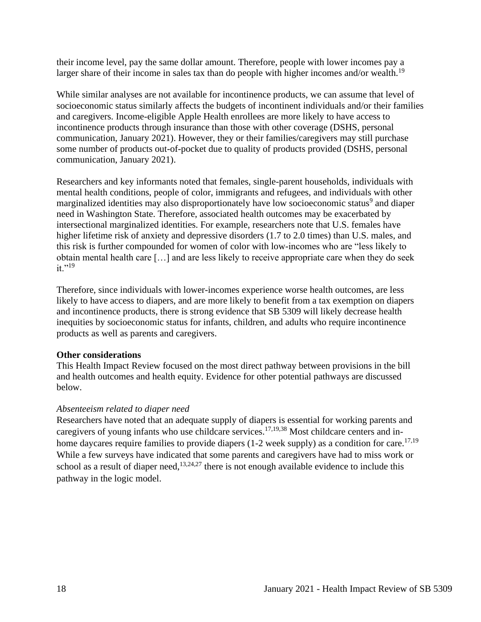their income level, pay the same dollar amount. Therefore, people with lower incomes pay a larger share of their income in sales tax than do people with higher incomes and/or wealth.<sup>19</sup>

While similar analyses are not available for incontinence products, we can assume that level of socioeconomic status similarly affects the budgets of incontinent individuals and/or their families and caregivers. Income-eligible Apple Health enrollees are more likely to have access to incontinence products through insurance than those with other coverage (DSHS, personal communication, January 2021). However, they or their families/caregivers may still purchase some number of products out-of-pocket due to quality of products provided (DSHS, personal communication, January 2021).

Researchers and key informants noted that females, single-parent households, individuals with mental health conditions, people of color, immigrants and refugees, and individuals with other marginalized identities may also disproportionately have low socioeconomic status<sup>9</sup> and diaper need in Washington State. Therefore, associated health outcomes may be exacerbated by intersectional marginalized identities. For example, researchers note that U.S. females have higher lifetime risk of anxiety and depressive disorders (1.7 to 2.0 times) than U.S. males, and this risk is further compounded for women of color with low-incomes who are "less likely to obtain mental health care […] and are less likely to receive appropriate care when they do seek  $it.$ "<sup>19</sup>

Therefore, since individuals with lower-incomes experience worse health outcomes, are less likely to have access to diapers, and are more likely to benefit from a tax exemption on diapers and incontinence products, there is strong evidence that SB 5309 will likely decrease health inequities by socioeconomic status for infants, children, and adults who require incontinence products as well as parents and caregivers.

### **Other considerations**

This Health Impact Review focused on the most direct pathway between provisions in the bill and health outcomes and health equity. Evidence for other potential pathways are discussed below.

### *Absenteeism related to diaper need*

Researchers have noted that an adequate supply of diapers is essential for working parents and caregivers of young infants who use childcare services.<sup>17,19,38</sup> Most childcare centers and inhome daycares require families to provide diapers  $(1-2 \text{ week supply})$  as a condition for care.<sup>17,19</sup> While a few surveys have indicated that some parents and caregivers have had to miss work or school as a result of diaper need, $13,24,27$  there is not enough available evidence to include this pathway in the logic model.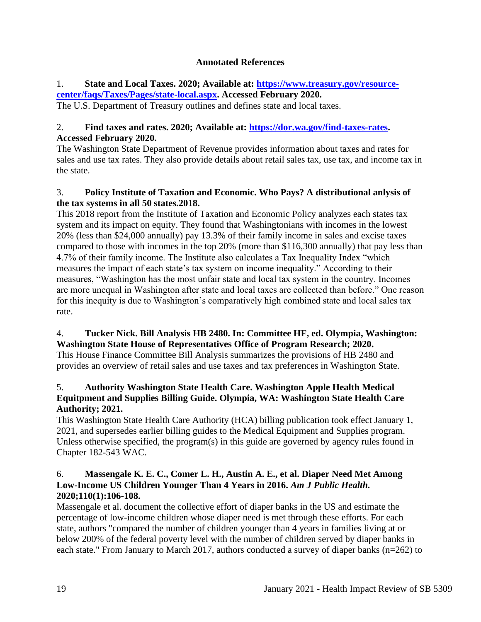# **Annotated References**

# <span id="page-18-0"></span>1. **State and Local Taxes. 2020; Available at: [https://www.treasury.gov/resource](https://www.treasury.gov/resource-center/faqs/Taxes/Pages/state-local.aspx)[center/faqs/Taxes/Pages/state-local.aspx.](https://www.treasury.gov/resource-center/faqs/Taxes/Pages/state-local.aspx) Accessed February 2020.**

The U.S. Department of Treasury outlines and defines state and local taxes.

# 2. **Find taxes and rates. 2020; Available at: [https://dor.wa.gov/find-taxes-rates.](https://dor.wa.gov/find-taxes-rates) Accessed February 2020.**

The Washington State Department of Revenue provides information about taxes and rates for sales and use tax rates. They also provide details about retail sales tax, use tax, and income tax in the state.

# 3. **Policy Institute of Taxation and Economic. Who Pays? A distributional anlysis of the tax systems in all 50 states.2018.**

This 2018 report from the Institute of Taxation and Economic Policy analyzes each states tax system and its impact on equity. They found that Washingtonians with incomes in the lowest 20% (less than \$24,000 annually) pay 13.3% of their family income in sales and excise taxes compared to those with incomes in the top 20% (more than \$116,300 annually) that pay less than 4.7% of their family income. The Institute also calculates a Tax Inequality Index "which measures the impact of each state's tax system on income inequality." According to their measures, "Washington has the most unfair state and local tax system in the country. Incomes are more unequal in Washington after state and local taxes are collected than before." One reason for this inequity is due to Washington's comparatively high combined state and local sales tax rate.

# 4. **Tucker Nick. Bill Analysis HB 2480. In: Committee HF, ed. Olympia, Washington: Washington State House of Representatives Office of Program Research; 2020.**

This House Finance Committee Bill Analysis summarizes the provisions of HB 2480 and provides an overview of retail sales and use taxes and tax preferences in Washington State.

# 5. **Authority Washington State Health Care. Washington Apple Health Medical Equitpment and Supplies Billing Guide. Olympia, WA: Washington State Health Care Authority; 2021.**

This Washington State Health Care Authority (HCA) billing publication took effect January 1, 2021, and supersedes earlier billing guides to the Medical Equipment and Supplies program. Unless otherwise specified, the program(s) in this guide are governed by agency rules found in Chapter 182-543 WAC.

# 6. **Massengale K. E. C., Comer L. H., Austin A. E., et al. Diaper Need Met Among**  Low-Income US Children Younger Than 4 Years in 2016. Am J Public Health. **2020;110(1):106-108.**

Massengale et al. document the collective effort of diaper banks in the US and estimate the percentage of low-income children whose diaper need is met through these efforts. For each state, authors "compared the number of children younger than 4 years in families living at or below 200% of the federal poverty level with the number of children served by diaper banks in each state." From January to March 2017, authors conducted a survey of diaper banks (n=262) to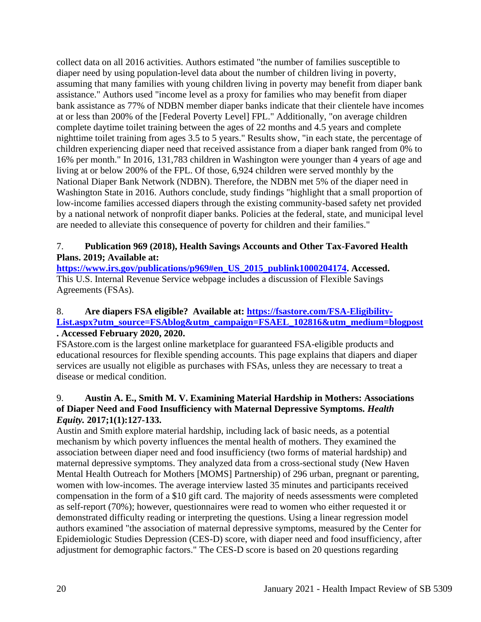collect data on all 2016 activities. Authors estimated "the number of families susceptible to diaper need by using population-level data about the number of children living in poverty, assuming that many families with young children living in poverty may benefit from diaper bank assistance." Authors used "income level as a proxy for families who may benefit from diaper bank assistance as 77% of NDBN member diaper banks indicate that their clientele have incomes at or less than 200% of the [Federal Poverty Level] FPL." Additionally, "on average children complete daytime toilet training between the ages of 22 months and 4.5 years and complete nighttime toilet training from ages 3.5 to 5 years." Results show, "in each state, the percentage of children experiencing diaper need that received assistance from a diaper bank ranged from 0% to 16% per month." In 2016, 131,783 children in Washington were younger than 4 years of age and living at or below 200% of the FPL. Of those, 6,924 children were served monthly by the National Diaper Bank Network (NDBN). Therefore, the NDBN met 5% of the diaper need in Washington State in 2016. Authors conclude, study findings "highlight that a small proportion of low-income families accessed diapers through the existing community-based safety net provided by a national network of nonprofit diaper banks. Policies at the federal, state, and municipal level are needed to alleviate this consequence of poverty for children and their families."

# 7. **Publication 969 (2018), Health Savings Accounts and Other Tax-Favored Health Plans. 2019; Available at:**

**[https://www.irs.gov/publications/p969#en\\_US\\_2015\\_publink1000204174.](https://www.irs.gov/publications/p969#en_US_2015_publink1000204174) Accessed.** This U.S. Internal Revenue Service webpage includes a discussion of Flexible Savings Agreements (FSAs).

### 8. **Are diapers FSA eligible? Available at: [https://fsastore.com/FSA-Eligibility-](https://fsastore.com/FSA-Eligibility-List.aspx?utm_source=FSAblog&utm_campaign=FSAEL_102816&utm_medium=blogpost)[List.aspx?utm\\_source=FSAblog&utm\\_campaign=FSAEL\\_102816&utm\\_medium=blogpost](https://fsastore.com/FSA-Eligibility-List.aspx?utm_source=FSAblog&utm_campaign=FSAEL_102816&utm_medium=blogpost) . Accessed February 2020, 2020.**

FSAstore.com is the largest online marketplace for guaranteed FSA-eligible products and educational resources for flexible spending accounts. This page explains that diapers and diaper services are usually not eligible as purchases with FSAs, unless they are necessary to treat a disease or medical condition.

# 9. **Austin A. E., Smith M. V. Examining Material Hardship in Mothers: Associations of Diaper Need and Food Insufficiency with Maternal Depressive Symptoms.** *Health Equity.* **2017;1(1):127-133.**

Austin and Smith explore material hardship, including lack of basic needs, as a potential mechanism by which poverty influences the mental health of mothers. They examined the association between diaper need and food insufficiency (two forms of material hardship) and maternal depressive symptoms. They analyzed data from a cross-sectional study (New Haven Mental Health Outreach for Mothers [MOMS] Partnership) of 296 urban, pregnant or parenting, women with low-incomes. The average interview lasted 35 minutes and participants received compensation in the form of a \$10 gift card. The majority of needs assessments were completed as self-report (70%); however, questionnaires were read to women who either requested it or demonstrated difficulty reading or interpreting the questions. Using a linear regression model authors examined "the association of maternal depressive symptoms, measured by the Center for Epidemiologic Studies Depression (CES-D) score, with diaper need and food insufficiency, after adjustment for demographic factors." The CES-D score is based on 20 questions regarding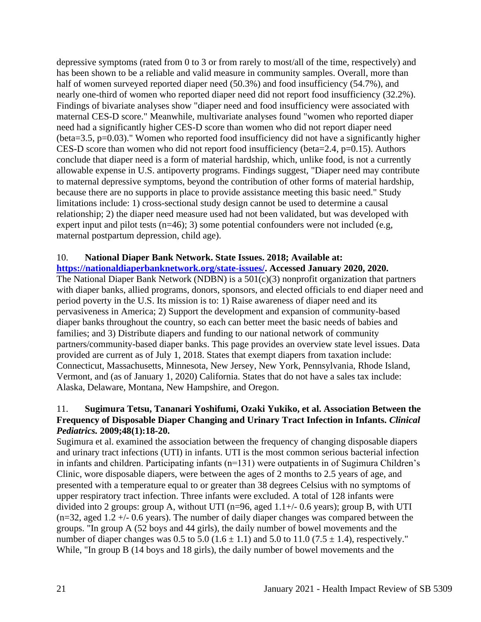depressive symptoms (rated from 0 to 3 or from rarely to most/all of the time, respectively) and has been shown to be a reliable and valid measure in community samples. Overall, more than half of women surveyed reported diaper need (50.3%) and food insufficiency (54.7%), and nearly one-third of women who reported diaper need did not report food insufficiency (32.2%). Findings of bivariate analyses show "diaper need and food insufficiency were associated with maternal CES-D score." Meanwhile, multivariate analyses found "women who reported diaper need had a significantly higher CES-D score than women who did not report diaper need (beta=3.5, p=0.03)." Women who reported food insufficiency did not have a significantly higher CES-D score than women who did not report food insufficiency (beta=2.4, p=0.15). Authors conclude that diaper need is a form of material hardship, which, unlike food, is not a currently allowable expense in U.S. antipoverty programs. Findings suggest, "Diaper need may contribute to maternal depressive symptoms, beyond the contribution of other forms of material hardship, because there are no supports in place to provide assistance meeting this basic need." Study limitations include: 1) cross-sectional study design cannot be used to determine a causal relationship; 2) the diaper need measure used had not been validated, but was developed with expert input and pilot tests  $(n=46)$ ; 3) some potential confounders were not included (e.g, maternal postpartum depression, child age).

#### 10. **National Diaper Bank Network. State Issues. 2018; Available at: [https://nationaldiaperbanknetwork.org/state-issues/.](https://nationaldiaperbanknetwork.org/state-issues/) Accessed January 2020, 2020.**

The National Diaper Bank Network (NDBN) is a 501(c)(3) nonprofit organization that partners with diaper banks, allied programs, donors, sponsors, and elected officials to end diaper need and period poverty in the U.S. Its mission is to: 1) Raise awareness of diaper need and its pervasiveness in America; 2) Support the development and expansion of community-based diaper banks throughout the country, so each can better meet the basic needs of babies and families; and 3) Distribute diapers and funding to our national network of community partners/community-based diaper banks. This page provides an overview state level issues. Data provided are current as of July 1, 2018. States that exempt diapers from taxation include: Connecticut, Massachusetts, Minnesota, New Jersey, New York, Pennsylvania, Rhode Island, Vermont, and (as of January 1, 2020) California. States that do not have a sales tax include: Alaska, Delaware, Montana, New Hampshire, and Oregon.

### 11. **Sugimura Tetsu, Tananari Yoshifumi, Ozaki Yukiko, et al. Association Between the Frequency of Disposable Diaper Changing and Urinary Tract Infection in Infants.** *Clinical Pediatrics.* **2009;48(1):18-20.**

Sugimura et al. examined the association between the frequency of changing disposable diapers and urinary tract infections (UTI) in infants. UTI is the most common serious bacterial infection in infants and children. Participating infants (n=131) were outpatients in of Sugimura Children's Clinic, wore disposable diapers, were between the ages of 2 months to 2.5 years of age, and presented with a temperature equal to or greater than 38 degrees Celsius with no symptoms of upper respiratory tract infection. Three infants were excluded. A total of 128 infants were divided into 2 groups: group A, without UTI (n=96, aged  $1.1+/$ - 0.6 years); group B, with UTI  $(n=32, \text{ aged } 1.2 + (-0.6 \text{ years})$ . The number of daily diaper changes was compared between the groups. "In group A (52 boys and 44 girls), the daily number of bowel movements and the number of diaper changes was 0.5 to 5.0 (1.6  $\pm$  1.1) and 5.0 to 11.0 (7.5  $\pm$  1.4), respectively." While, "In group B (14 boys and 18 girls), the daily number of bowel movements and the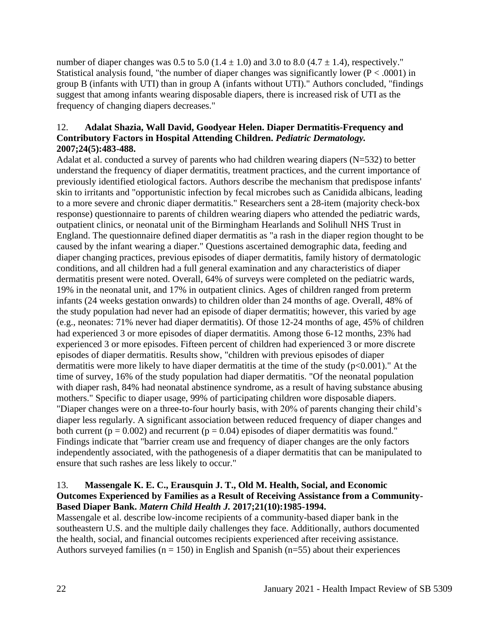number of diaper changes was 0.5 to 5.0 ( $1.4 \pm 1.0$ ) and 3.0 to 8.0 ( $4.7 \pm 1.4$ ), respectively." Statistical analysis found, "the number of diaper changes was significantly lower ( $P < .0001$ ) in group B (infants with UTI) than in group A (infants without UTI)." Authors concluded, "findings suggest that among infants wearing disposable diapers, there is increased risk of UTI as the frequency of changing diapers decreases."

### 12. **Adalat Shazia, Wall David, Goodyear Helen. Diaper Dermatitis-Frequency and Contributory Factors in Hospital Attending Children.** *Pediatric Dermatology.*  **2007;24(5):483-488.**

Adalat et al. conducted a survey of parents who had children wearing diapers (N=532) to better understand the frequency of diaper dermatitis, treatment practices, and the current importance of previously identified etiological factors. Authors describe the mechanism that predispose infants' skin to irritants and "opportunistic infection by fecal microbes such as Canidida albicans, leading to a more severe and chronic diaper dermatitis." Researchers sent a 28-item (majority check-box response) questionnaire to parents of children wearing diapers who attended the pediatric wards, outpatient clinics, or neonatal unit of the Birmingham Hearlands and Solihull NHS Trust in England. The questionnaire defined diaper dermatitis as "a rash in the diaper region thought to be caused by the infant wearing a diaper." Questions ascertained demographic data, feeding and diaper changing practices, previous episodes of diaper dermatitis, family history of dermatologic conditions, and all children had a full general examination and any characteristics of diaper dermatitis present were noted. Overall, 64% of surveys were completed on the pediatric wards, 19% in the neonatal unit, and 17% in outpatient clinics. Ages of children ranged from preterm infants (24 weeks gestation onwards) to children older than 24 months of age. Overall, 48% of the study population had never had an episode of diaper dermatitis; however, this varied by age (e.g., neonates: 71% never had diaper dermatitis). Of those 12-24 months of age, 45% of children had experienced 3 or more episodes of diaper dermatitis. Among those 6-12 months, 23% had experienced 3 or more episodes. Fifteen percent of children had experienced 3 or more discrete episodes of diaper dermatitis. Results show, "children with previous episodes of diaper dermatitis were more likely to have diaper dermatitis at the time of the study (p<0.001)." At the time of survey, 16% of the study population had diaper dermatitis. "Of the neonatal population with diaper rash, 84% had neonatal abstinence syndrome, as a result of having substance abusing mothers." Specific to diaper usage, 99% of participating children wore disposable diapers. "Diaper changes were on a three-to-four hourly basis, with 20% of parents changing their child's diaper less regularly. A significant association between reduced frequency of diaper changes and both current ( $p = 0.002$ ) and recurrent ( $p = 0.04$ ) episodes of diaper dermatitis was found." Findings indicate that "barrier cream use and frequency of diaper changes are the only factors independently associated, with the pathogenesis of a diaper dermatitis that can be manipulated to ensure that such rashes are less likely to occur."

### 13. **Massengale K. E. C., Erausquin J. T., Old M. Health, Social, and Economic Outcomes Experienced by Families as a Result of Receiving Assistance from a Community-Based Diaper Bank.** *Matern Child Health J.* **2017;21(10):1985-1994.**

Massengale et al. describe low-income recipients of a community-based diaper bank in the southeastern U.S. and the multiple daily challenges they face. Additionally, authors documented the health, social, and financial outcomes recipients experienced after receiving assistance. Authors surveyed families ( $n = 150$ ) in English and Spanish ( $n = 55$ ) about their experiences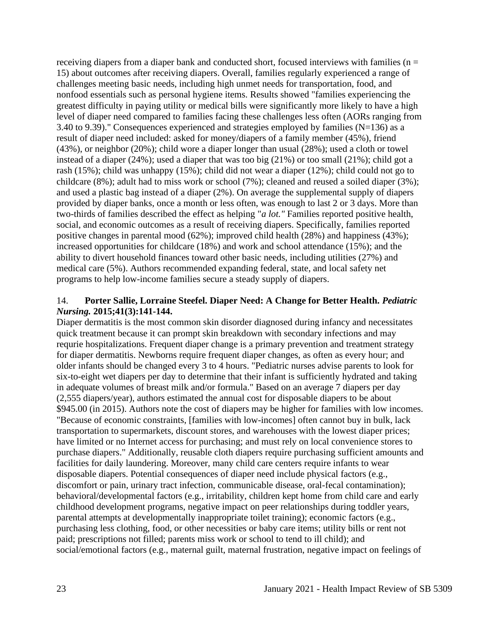receiving diapers from a diaper bank and conducted short, focused interviews with families ( $n =$ 15) about outcomes after receiving diapers. Overall, families regularly experienced a range of challenges meeting basic needs, including high unmet needs for transportation, food, and nonfood essentials such as personal hygiene items. Results showed "families experiencing the greatest difficulty in paying utility or medical bills were significantly more likely to have a high level of diaper need compared to families facing these challenges less often (AORs ranging from 3.40 to 9.39)." Consequences experienced and strategies employed by families  $(N=136)$  as a result of diaper need included: asked for money/diapers of a family member (45%), friend (43%), or neighbor (20%); child wore a diaper longer than usual (28%); used a cloth or towel instead of a diaper (24%); used a diaper that was too big (21%) or too small (21%); child got a rash (15%); child was unhappy (15%); child did not wear a diaper (12%); child could not go to childcare (8%); adult had to miss work or school (7%); cleaned and reused a soiled diaper (3%); and used a plastic bag instead of a diaper (2%). On average the supplemental supply of diapers provided by diaper banks, once a month or less often, was enough to last 2 or 3 days. More than two-thirds of families described the effect as helping "*a lot."* Families reported positive health, social, and economic outcomes as a result of receiving diapers. Specifically, families reported positive changes in parental mood (62%); improved child health (28%) and happiness (43%); increased opportunities for childcare (18%) and work and school attendance (15%); and the ability to divert household finances toward other basic needs, including utilities (27%) and medical care (5%). Authors recommended expanding federal, state, and local safety net programs to help low-income families secure a steady supply of diapers.

### 14. **Porter Sallie, Lorraine Steefel. Diaper Need: A Change for Better Health.** *Pediatric Nursing.* **2015;41(3):141-144.**

Diaper dermatitis is the most common skin disorder diagnosed during infancy and necessitates quick treatment because it can prompt skin breakdown with secondary infections and may requrie hospitalizations. Frequent diaper change is a primary prevention and treatment strategy for diaper dermatitis. Newborns require frequent diaper changes, as often as every hour; and older infants should be changed every 3 to 4 hours. "Pediatric nurses advise parents to look for six-to-eight wet diapers per day to determine that their infant is sufficiently hydrated and taking in adequate volumes of breast milk and/or formula." Based on an average 7 diapers per day (2,555 diapers/year), authors estimated the annual cost for disposable diapers to be about \$945.00 (in 2015). Authors note the cost of diapers may be higher for families with low incomes. "Because of economic constraints, [families with low-incomes] often cannot buy in bulk, lack transportation to supermarkets, discount stores, and warehouses with the lowest diaper prices; have limited or no Internet access for purchasing; and must rely on local convenience stores to purchase diapers." Additionally, reusable cloth diapers require purchasing sufficient amounts and facilities for daily laundering. Moreover, many child care centers require infants to wear disposable diapers. Potential consequences of diaper need include physical factors (e.g., discomfort or pain, urinary tract infection, communicable disease, oral-fecal contamination); behavioral/developmental factors (e.g., irritability, children kept home from child care and early childhood development programs, negative impact on peer relationships during toddler years, parental attempts at developmentally inappropriate toilet training); economic factors (e.g., purchasing less clothing, food, or other necessities or baby care items; utility bills or rent not paid; prescriptions not filled; parents miss work or school to tend to ill child); and social/emotional factors (e.g., maternal guilt, maternal frustration, negative impact on feelings of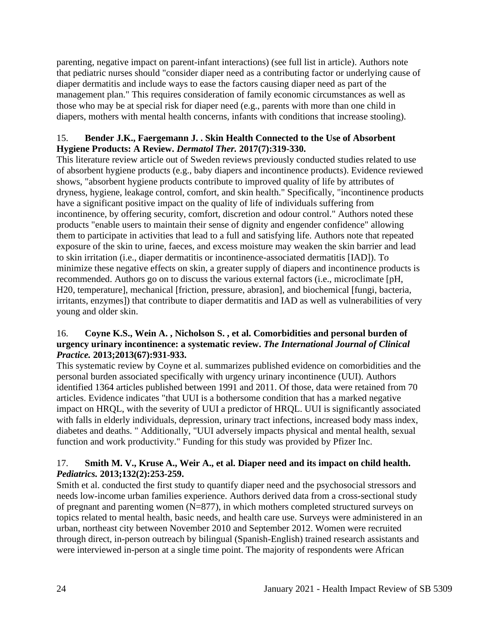parenting, negative impact on parent-infant interactions) (see full list in article). Authors note that pediatric nurses should "consider diaper need as a contributing factor or underlying cause of diaper dermatitis and include ways to ease the factors causing diaper need as part of the management plan." This requires consideration of family economic circumstances as well as those who may be at special risk for diaper need (e.g., parents with more than one child in diapers, mothers with mental health concerns, infants with conditions that increase stooling).

### 15. **Bender J.K., Faergemann J. . Skin Health Connected to the Use of Absorbent Hygiene Products: A Review.** *Dermatol Ther.* **2017(7):319-330.**

This literature review article out of Sweden reviews previously conducted studies related to use of absorbent hygiene products (e.g., baby diapers and incontinence products). Evidence reviewed shows, "absorbent hygiene products contribute to improved quality of life by attributes of dryness, hygiene, leakage control, comfort, and skin health." Specifically, "incontinence products have a significant positive impact on the quality of life of individuals suffering from incontinence, by offering security, comfort, discretion and odour control." Authors noted these products "enable users to maintain their sense of dignity and engender confidence" allowing them to participate in activities that lead to a full and satisfying life. Authors note that repeated exposure of the skin to urine, faeces, and excess moisture may weaken the skin barrier and lead to skin irritation (i.e., diaper dermatitis or incontinence-associated dermatitis [IAD]). To minimize these negative effects on skin, a greater supply of diapers and incontinence products is recommended. Authors go on to discuss the various external factors (i.e., microclimate [pH, H20, temperature], mechanical [friction, pressure, abrasion], and biochemical [fungi, bacteria, irritants, enzymes]) that contribute to diaper dermatitis and IAD as well as vulnerabilities of very young and older skin.

### 16. **Coyne K.S., Wein A. , Nicholson S. , et al. Comorbidities and personal burden of urgency urinary incontinence: a systematic review.** *The International Journal of Clinical Practice.* **2013;2013(67):931-933.**

This systematic review by Coyne et al. summarizes published evidence on comorbidities and the personal burden associated specifically with urgency urinary incontinence (UUI). Authors identified 1364 articles published between 1991 and 2011. Of those, data were retained from 70 articles. Evidence indicates "that UUI is a bothersome condition that has a marked negative impact on HRQL, with the severity of UUI a predictor of HRQL. UUI is significantly associated with falls in elderly individuals, depression, urinary tract infections, increased body mass index, diabetes and deaths. " Additionally, "UUI adversely impacts physical and mental health, sexual function and work productivity." Funding for this study was provided by Pfizer Inc.

### 17. **Smith M. V., Kruse A., Weir A., et al. Diaper need and its impact on child health.**  *Pediatrics.* **2013;132(2):253-259.**

Smith et al. conducted the first study to quantify diaper need and the psychosocial stressors and needs low-income urban families experience. Authors derived data from a cross-sectional study of pregnant and parenting women  $(N=877)$ , in which mothers completed structured surveys on topics related to mental health, basic needs, and health care use. Surveys were administered in an urban, northeast city between November 2010 and September 2012. Women were recruited through direct, in-person outreach by bilingual (Spanish-English) trained research assistants and were interviewed in-person at a single time point. The majority of respondents were African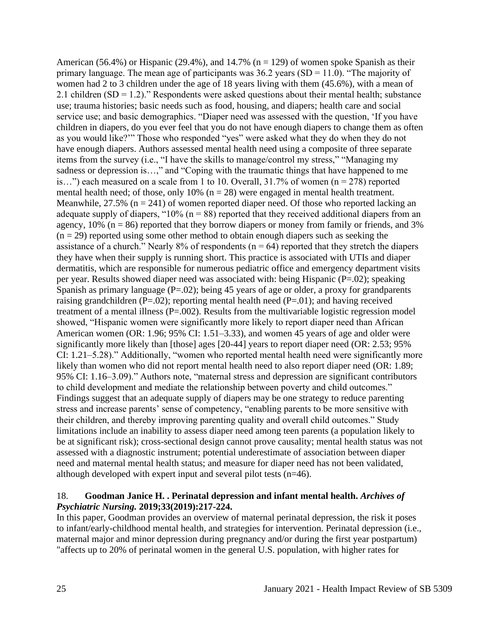American (56.4%) or Hispanic (29.4%), and 14.7% ( $n = 129$ ) of women spoke Spanish as their primary language. The mean age of participants was  $36.2$  years (SD = 11.0). "The majority of women had 2 to 3 children under the age of 18 years living with them (45.6%), with a mean of 2.1 children  $(SD = 1.2)$ ." Respondents were asked questions about their mental health; substance use; trauma histories; basic needs such as food, housing, and diapers; health care and social service use; and basic demographics. "Diaper need was assessed with the question, 'If you have children in diapers, do you ever feel that you do not have enough diapers to change them as often as you would like?'" Those who responded "yes" were asked what they do when they do not have enough diapers. Authors assessed mental health need using a composite of three separate items from the survey (i.e., "I have the skills to manage/control my stress," "Managing my sadness or depression is…," and "Coping with the traumatic things that have happened to me is...") each measured on a scale from 1 to 10. Overall,  $31.7\%$  of women (n = 278) reported mental health need; of those, only 10% ( $n = 28$ ) were engaged in mental health treatment. Meanwhile,  $27.5\%$  (n = 241) of women reported diaper need. Of those who reported lacking an adequate supply of diapers, " $10\%$  (n = 88) reported that they received additional diapers from an agency,  $10\%$  (n = 86) reported that they borrow diapers or money from family or friends, and 3%  $(n = 29)$  reported using some other method to obtain enough diapers such as seeking the assistance of a church." Nearly 8% of respondents ( $n = 64$ ) reported that they stretch the diapers they have when their supply is running short. This practice is associated with UTIs and diaper dermatitis, which are responsible for numerous pediatric office and emergency department visits per year. Results showed diaper need was associated with: being Hispanic (P=.02); speaking Spanish as primary language  $(P=.02)$ ; being 45 years of age or older, a proxy for grandparents raising grandchildren ( $P=.02$ ); reporting mental health need ( $P=.01$ ); and having received treatment of a mental illness (P=.002). Results from the multivariable logistic regression model showed, "Hispanic women were significantly more likely to report diaper need than African American women (OR: 1.96; 95% CI: 1.51–3.33), and women 45 years of age and older were significantly more likely than [those] ages [20-44] years to report diaper need (OR: 2.53; 95% CI: 1.21–5.28)." Additionally, "women who reported mental health need were significantly more likely than women who did not report mental health need to also report diaper need (OR: 1.89; 95% CI: 1.16–3.09)." Authors note, "maternal stress and depression are significant contributors to child development and mediate the relationship between poverty and child outcomes." Findings suggest that an adequate supply of diapers may be one strategy to reduce parenting stress and increase parents' sense of competency, "enabling parents to be more sensitive with their children, and thereby improving parenting quality and overall child outcomes." Study limitations include an inability to assess diaper need among teen parents (a population likely to be at significant risk); cross-sectional design cannot prove causality; mental health status was not assessed with a diagnostic instrument; potential underestimate of association between diaper need and maternal mental health status; and measure for diaper need has not been validated, although developed with expert input and several pilot tests (n=46).

#### 18. **Goodman Janice H. . Perinatal depression and infant mental health.** *Archives of Psychiatric Nursing.* **2019;33(2019):217-224.**

In this paper, Goodman provides an overview of maternal perinatal depression, the risk it poses to infant/early-childhood mental health, and strategies for intervention. Perinatal depression (i.e., maternal major and minor depression during pregnancy and/or during the first year postpartum) "affects up to 20% of perinatal women in the general U.S. population, with higher rates for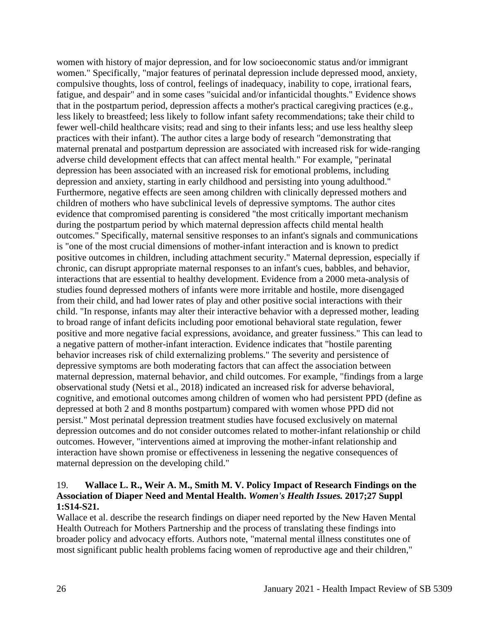women with history of major depression, and for low socioeconomic status and/or immigrant women." Specifically, "major features of perinatal depression include depressed mood, anxiety, compulsive thoughts, loss of control, feelings of inadequacy, inability to cope, irrational fears, fatigue, and despair" and in some cases "suicidal and/or infanticidal thoughts." Evidence shows that in the postpartum period, depression affects a mother's practical caregiving practices (e.g., less likely to breastfeed; less likely to follow infant safety recommendations; take their child to fewer well-child healthcare visits; read and sing to their infants less; and use less healthy sleep practices with their infant). The author cites a large body of research "demonstrating that maternal prenatal and postpartum depression are associated with increased risk for wide-ranging adverse child development effects that can affect mental health." For example, "perinatal depression has been associated with an increased risk for emotional problems, including depression and anxiety, starting in early childhood and persisting into young adulthood." Furthermore, negative effects are seen among children with clinically depressed mothers and children of mothers who have subclinical levels of depressive symptoms. The author cites evidence that compromised parenting is considered "the most critically important mechanism during the postpartum period by which maternal depression affects child mental health outcomes." Specifically, maternal sensitive responses to an infant's signals and communications is "one of the most crucial dimensions of mother-infant interaction and is known to predict positive outcomes in children, including attachment security." Maternal depression, especially if chronic, can disrupt appropriate maternal responses to an infant's cues, babbles, and behavior, interactions that are essential to healthy development. Evidence from a 2000 meta-analysis of studies found depressed mothers of infants were more irritable and hostile, more disengaged from their child, and had lower rates of play and other positive social interactions with their child. "In response, infants may alter their interactive behavior with a depressed mother, leading to broad range of infant deficits including poor emotional behavioral state regulation, fewer positive and more negative facial expressions, avoidance, and greater fussiness." This can lead to a negative pattern of mother-infant interaction. Evidence indicates that "hostile parenting behavior increases risk of child externalizing problems." The severity and persistence of depressive symptoms are both moderating factors that can affect the association between maternal depression, maternal behavior, and child outcomes. For example, "findings from a large observational study (Netsi et al., 2018) indicated an increased risk for adverse behavioral, cognitive, and emotional outcomes among children of women who had persistent PPD (define as depressed at both 2 and 8 months postpartum) compared with women whose PPD did not persist." Most perinatal depression treatment studies have focused exclusively on maternal depression outcomes and do not consider outcomes related to mother-infant relationship or child outcomes. However, "interventions aimed at improving the mother-infant relationship and interaction have shown promise or effectiveness in lessening the negative consequences of maternal depression on the developing child."

### 19. **Wallace L. R., Weir A. M., Smith M. V. Policy Impact of Research Findings on the Association of Diaper Need and Mental Health.** *Women's Health Issues.* **2017;27 Suppl 1:S14-S21.**

Wallace et al. describe the research findings on diaper need reported by the New Haven Mental Health Outreach for Mothers Partnership and the process of translating these findings into broader policy and advocacy efforts. Authors note, "maternal mental illness constitutes one of most significant public health problems facing women of reproductive age and their children,"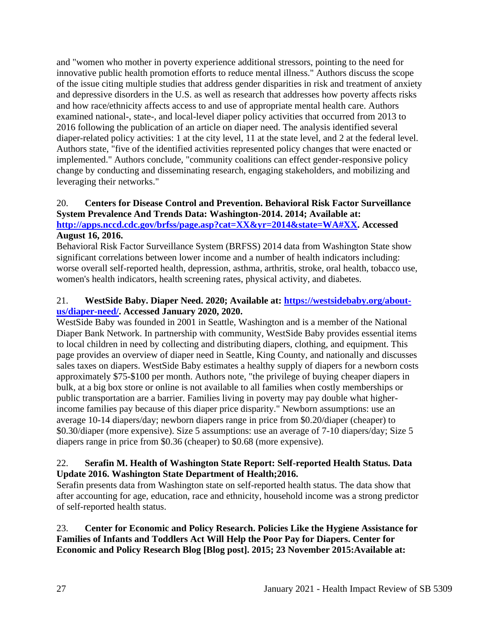and "women who mother in poverty experience additional stressors, pointing to the need for innovative public health promotion efforts to reduce mental illness." Authors discuss the scope of the issue citing multiple studies that address gender disparities in risk and treatment of anxiety and depressive disorders in the U.S. as well as research that addresses how poverty affects risks and how race/ethnicity affects access to and use of appropriate mental health care. Authors examined national-, state-, and local-level diaper policy activities that occurred from 2013 to 2016 following the publication of an article on diaper need. The analysis identified several diaper-related policy activities: 1 at the city level, 11 at the state level, and 2 at the federal level. Authors state, "five of the identified activities represented policy changes that were enacted or implemented." Authors conclude, "community coalitions can effect gender-responsive policy change by conducting and disseminating research, engaging stakeholders, and mobilizing and leveraging their networks."

#### 20. **Centers for Disease Control and Prevention. Behavioral Risk Factor Surveillance System Prevalence And Trends Data: Washington-2014. 2014; Available at: [http://apps.nccd.cdc.gov/brfss/page.asp?cat=XX&yr=2014&state=WA#XX.](http://apps.nccd.cdc.gov/brfss/page.asp?cat=XX&yr=2014&state=WA#XX) Accessed August 16, 2016.**

Behavioral Risk Factor Surveillance System (BRFSS) 2014 data from Washington State show significant correlations between lower income and a number of health indicators including: worse overall self-reported health, depression, asthma, arthritis, stroke, oral health, tobacco use, women's health indicators, health screening rates, physical activity, and diabetes.

### 21. **WestSide Baby. Diaper Need. 2020; Available at: [https://westsidebaby.org/about](https://westsidebaby.org/about-us/diaper-need/)[us/diaper-need/.](https://westsidebaby.org/about-us/diaper-need/) Accessed January 2020, 2020.**

WestSide Baby was founded in 2001 in Seattle, Washington and is a member of the National Diaper Bank Network. In partnership with community, WestSide Baby provides essential items to local children in need by collecting and distributing diapers, clothing, and equipment. This page provides an overview of diaper need in Seattle, King County, and nationally and discusses sales taxes on diapers. WestSide Baby estimates a healthy supply of diapers for a newborn costs approximately \$75-\$100 per month. Authors note, "the privilege of buying cheaper diapers in bulk, at a big box store or online is not available to all families when costly memberships or public transportation are a barrier. Families living in poverty may pay double what higherincome families pay because of this diaper price disparity." Newborn assumptions: use an average 10-14 diapers/day; newborn diapers range in price from \$0.20/diaper (cheaper) to \$0.30/diaper (more expensive). Size 5 assumptions: use an average of 7-10 diapers/day; Size 5 diapers range in price from \$0.36 (cheaper) to \$0.68 (more expensive).

### 22. **Serafin M. Health of Washington State Report: Self-reported Health Status. Data Update 2016. Washington State Department of Health;2016.**

Serafin presents data from Washington state on self-reported health status. The data show that after accounting for age, education, race and ethnicity, household income was a strong predictor of self-reported health status.

23. **Center for Economic and Policy Research. Policies Like the Hygiene Assistance for Families of Infants and Toddlers Act Will Help the Poor Pay for Diapers. Center for Economic and Policy Research Blog [Blog post]. 2015; 23 November 2015:Available at:**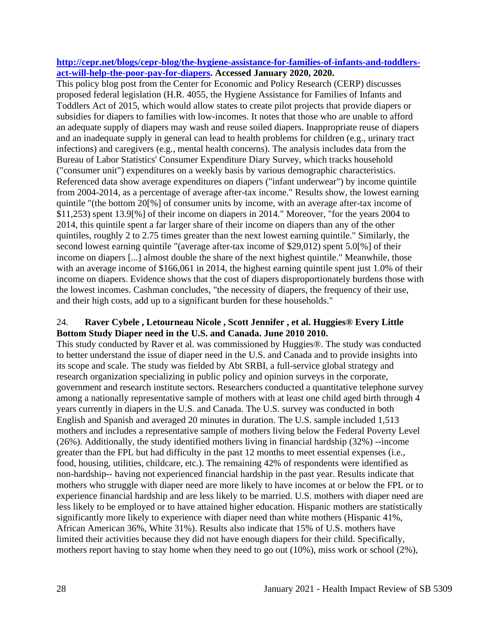#### **[http://cepr.net/blogs/cepr-blog/the-hygiene-assistance-for-families-of-infants-and-toddlers](http://cepr.net/blogs/cepr-blog/the-hygiene-assistance-for-families-of-infants-and-toddlers-act-will-help-the-poor-pay-for-diapers)[act-will-help-the-poor-pay-for-diapers.](http://cepr.net/blogs/cepr-blog/the-hygiene-assistance-for-families-of-infants-and-toddlers-act-will-help-the-poor-pay-for-diapers) Accessed January 2020, 2020.**

This policy blog post from the Center for Economic and Policy Research (CERP) discusses proposed federal legislation (H.R. 4055, the Hygiene Assistance for Families of Infants and Toddlers Act of 2015, which would allow states to create pilot projects that provide diapers or subsidies for diapers to families with low-incomes. It notes that those who are unable to afford an adequate supply of diapers may wash and reuse soiled diapers. Inappropriate reuse of diapers and an inadequate supply in general can lead to health problems for children (e.g., urinary tract infections) and caregivers (e.g., mental health concerns). The analysis includes data from the Bureau of Labor Statistics' Consumer Expenditure Diary Survey, which tracks household ("consumer unit") expenditures on a weekly basis by various demographic characteristics. Referenced data show average expenditures on diapers ("infant underwear") by income quintile from 2004-2014, as a percentage of average after-tax income." Results show, the lowest earning quintile "(the bottom 20[%] of consumer units by income, with an average after-tax income of \$11,253) spent 13.9[%] of their income on diapers in 2014." Moreover, "for the years 2004 to 2014, this quintile spent a far larger share of their income on diapers than any of the other quintiles, roughly 2 to 2.75 times greater than the next lowest earning quintile." Similarly, the second lowest earning quintile "(average after-tax income of \$29,012) spent 5.0[%] of their income on diapers [...] almost double the share of the next highest quintile." Meanwhile, those with an average income of \$166,061 in 2014, the highest earning quintile spent just 1.0% of their income on diapers. Evidence shows that the cost of diapers disproportionately burdens those with the lowest incomes. Cashman concludes, "the necessity of diapers, the frequency of their use, and their high costs, add up to a significant burden for these households."

### 24. **Raver Cybele , Letourneau Nicole , Scott Jennifer , et al. Huggies® Every Little Bottom Study Diaper need in the U.S. and Canada. June 2010 2010.**

This study conducted by Raver et al. was commissioned by Huggies®. The study was conducted to better understand the issue of diaper need in the U.S. and Canada and to provide insights into its scope and scale. The study was fielded by Abt SRBI, a full-service global strategy and research organization specializing in public policy and opinion surveys in the corporate, government and research institute sectors. Researchers conducted a quantitative telephone survey among a nationally representative sample of mothers with at least one child aged birth through 4 years currently in diapers in the U.S. and Canada. The U.S. survey was conducted in both English and Spanish and averaged 20 minutes in duration. The U.S. sample included 1,513 mothers and includes a representative sample of mothers living below the Federal Poverty Level (26%). Additionally, the study identified mothers living in financial hardship (32%) --income greater than the FPL but had difficulty in the past 12 months to meet essential expenses (i.e., food, housing, utilities, childcare, etc.). The remaining 42% of respondents were identified as non-hardship-- having not experienced financial hardship in the past year. Results indicate that mothers who struggle with diaper need are more likely to have incomes at or below the FPL or to experience financial hardship and are less likely to be married. U.S. mothers with diaper need are less likely to be employed or to have attained higher education. Hispanic mothers are statistically significantly more likely to experience with diaper need than white mothers (Hispanic 41%, African American 36%, White 31%). Results also indicate that 15% of U.S. mothers have limited their activities because they did not have enough diapers for their child. Specifically, mothers report having to stay home when they need to go out (10%), miss work or school (2%),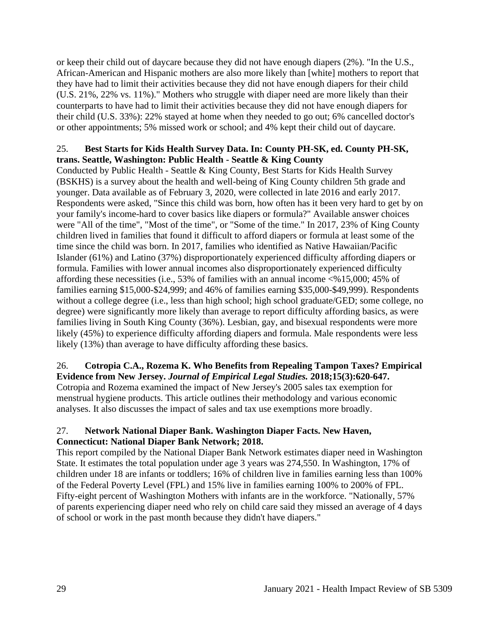or keep their child out of daycare because they did not have enough diapers (2%). "In the U.S., African-American and Hispanic mothers are also more likely than [white] mothers to report that they have had to limit their activities because they did not have enough diapers for their child (U.S. 21%, 22% vs. 11%)." Mothers who struggle with diaper need are more likely than their counterparts to have had to limit their activities because they did not have enough diapers for their child (U.S. 33%): 22% stayed at home when they needed to go out; 6% cancelled doctor's or other appointments; 5% missed work or school; and 4% kept their child out of daycare.

### 25. **Best Starts for Kids Health Survey Data. In: County PH-SK, ed. County PH-SK, trans. Seattle, Washington: Public Health - Seattle & King County**

Conducted by Public Health - Seattle & King County, Best Starts for Kids Health Survey (BSKHS) is a survey about the health and well-being of King County children 5th grade and younger. Data available as of February 3, 2020, were collected in late 2016 and early 2017. Respondents were asked, "Since this child was born, how often has it been very hard to get by on your family's income-hard to cover basics like diapers or formula?" Available answer choices were "All of the time", "Most of the time", or "Some of the time." In 2017, 23% of King County children lived in families that found it difficult to afford diapers or formula at least some of the time since the child was born. In 2017, families who identified as Native Hawaiian/Pacific Islander (61%) and Latino (37%) disproportionately experienced difficulty affording diapers or formula. Families with lower annual incomes also disproportionately experienced difficulty affording these necessities (i.e., 53% of families with an annual income <%15,000; 45% of families earning \$15,000-\$24,999; and 46% of families earning \$35,000-\$49,999). Respondents without a college degree (i.e., less than high school; high school graduate/GED; some college, no degree) were significantly more likely than average to report difficulty affording basics, as were families living in South King County (36%). Lesbian, gay, and bisexual respondents were more likely (45%) to experience difficulty affording diapers and formula. Male respondents were less likely (13%) than average to have difficulty affording these basics.

# 26. **Cotropia C.A., Rozema K. Who Benefits from Repealing Tampon Taxes? Empirical**

**Evidence from New Jersey.** *Journal of Empirical Legal Studies.* **2018;15(3):620-647.** Cotropia and Rozema examined the impact of New Jersey's 2005 sales tax exemption for menstrual hygiene products. This article outlines their methodology and various economic analyses. It also discusses the impact of sales and tax use exemptions more broadly.

# 27. **Network National Diaper Bank. Washington Diaper Facts. New Haven, Connecticut: National Diaper Bank Network; 2018.**

This report compiled by the National Diaper Bank Network estimates diaper need in Washington State. It estimates the total population under age 3 years was 274,550. In Washington, 17% of children under 18 are infants or toddlers; 16% of children live in families earning less than 100% of the Federal Poverty Level (FPL) and 15% live in families earning 100% to 200% of FPL. Fifty-eight percent of Washington Mothers with infants are in the workforce. "Nationally, 57% of parents experiencing diaper need who rely on child care said they missed an average of 4 days of school or work in the past month because they didn't have diapers."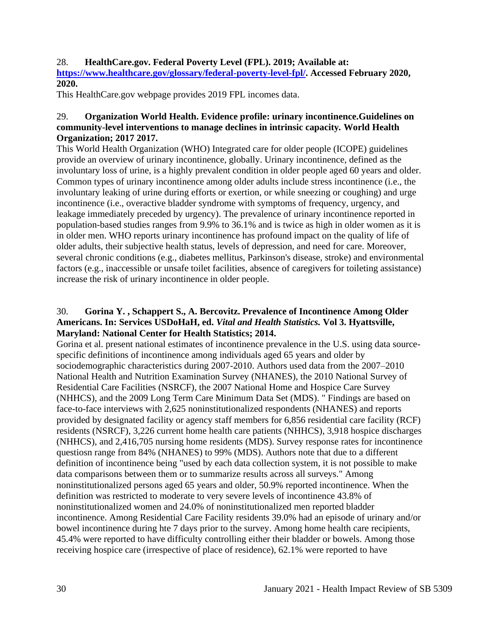### 28. **HealthCare.gov. Federal Poverty Level (FPL). 2019; Available at:**

**[https://www.healthcare.gov/glossary/federal-poverty-level-fpl/.](https://www.healthcare.gov/glossary/federal-poverty-level-fpl/) Accessed February 2020, 2020.**

This HealthCare.gov webpage provides 2019 FPL incomes data.

### 29. **Organization World Health. Evidence profile: urinary incontinence.Guidelines on community-level interventions to manage declines in intrinsic capacity***.* **World Health Organization; 2017 2017.**

This World Health Organization (WHO) Integrated care for older people (ICOPE) guidelines provide an overview of urinary incontinence, globally. Urinary incontinence, defined as the involuntary loss of urine, is a highly prevalent condition in older people aged 60 years and older. Common types of urinary incontinence among older adults include stress incontinence (i.e., the involuntary leaking of urine during efforts or exertion, or while sneezing or coughing) and urge incontinence (i.e., overactive bladder syndrome with symptoms of frequency, urgency, and leakage immediately preceded by urgency). The prevalence of urinary incontinence reported in population-based studies ranges from 9.9% to 36.1% and is twice as high in older women as it is in older men. WHO reports urinary incontinence has profound impact on the quality of life of older adults, their subjective health status, levels of depression, and need for care. Moreover, several chronic conditions (e.g., diabetes mellitus, Parkinson's disease, stroke) and environmental factors (e.g., inaccessible or unsafe toilet facilities, absence of caregivers for toileting assistance) increase the risk of urinary incontinence in older people.

### 30. **Gorina Y. , Schappert S., A. Bercovitz. Prevalence of Incontinence Among Older Americans. In: Services USDoHaH, ed.** *Vital and Health Statistics.* **Vol 3. Hyattsville, Maryland: National Center for Health Statistics; 2014.**

Gorina et al. present national estimates of incontinence prevalence in the U.S. using data sourcespecific definitions of incontinence among individuals aged 65 years and older by sociodemographic characteristics during 2007-2010. Authors used data from the 2007–2010 National Health and Nutrition Examination Survey (NHANES), the 2010 National Survey of Residential Care Facilities (NSRCF), the 2007 National Home and Hospice Care Survey (NHHCS), and the 2009 Long Term Care Minimum Data Set (MDS). " Findings are based on face-to-face interviews with 2,625 noninstitutionalized respondents (NHANES) and reports provided by designated facility or agency staff members for 6,856 residential care facility (RCF) residents (NSRCF), 3,226 current home health care patients (NHHCS), 3,918 hospice discharges (NHHCS), and 2,416,705 nursing home residents (MDS). Survey response rates for incontinence questiosn range from 84% (NHANES) to 99% (MDS). Authors note that due to a different definition of incontinence being "used by each data collection system, it is not possible to make data comparisons between them or to summarize results across all surveys." Among noninstitutionalized persons aged 65 years and older, 50.9% reported incontinence. When the definition was restricted to moderate to very severe levels of incontinence 43.8% of noninstitutionalized women and 24.0% of noninstitutionalized men reported bladder incontinence. Among Residential Care Facility residents 39.0% had an episode of urinary and/or bowel incontinence during hte 7 days prior to the survey. Among home health care recipients, 45.4% were reported to have difficulty controlling either their bladder or bowels. Among those receiving hospice care (irrespective of place of residence), 62.1% were reported to have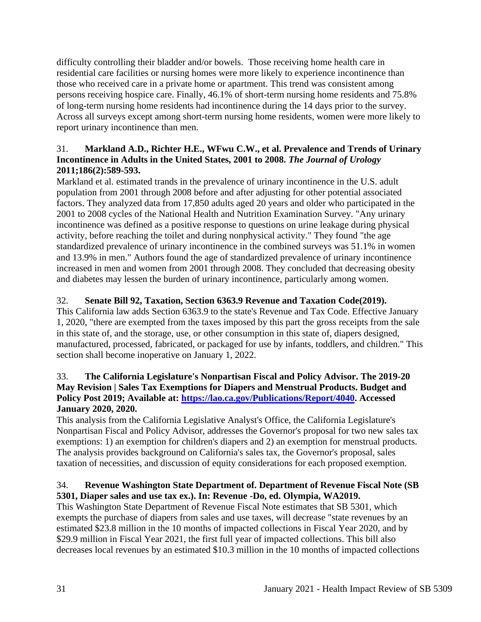difficulty controlling their bladder and/or bowels. Those receiving home health care in residential care facilities or nursing homes were more likely to experience incontinence than those who received care in a private home or apartment. This trend was consistent among persons receiving hospice care. Finally, 46.1% of short-term nursing home residents and 75.8% of long-term nursing home residents had incontinence during the 14 days prior to the survey. Across all surveys except among short-term nursing home residents, women were more likely to report urinary incontinence than men.

### 31. **Markland A.D., Richter H.E., WFwu C.W., et al. Prevalence and Trends of Urinary Incontinence in Adults in the United States, 2001 to 2008.** *The Journal of Urology*  **2011;186(2):589-593.**

Markland et al. estimated trands in the prevalence of urinary incontinence in the U.S. adult population from 2001 through 2008 before and after adjusting for other potential associated factors. They analyzed data from 17,850 adults aged 20 years and older who participated in the 2001 to 2008 cycles of the National Health and Nutrition Examination Survey. "Any urinary incontinence was defined as a positive response to questions on urine leakage during physical activity, before reaching the toilet and during nonphysical activity." They found "the age standardized prevalence of urinary incontinence in the combined surveys was 51.1% in women and 13.9% in men." Authors found the age of standardized prevalence of urinary incontinence increased in men and women from 2001 through 2008. They concluded that decreasing obesity and diabetes may lessen the burden of urinary incontinence, particularly among women.

# 32. **Senate Bill 92, Taxation, Section 6363.9 Revenue and Taxation Code(2019).**

This California law adds Section 6363.9 to the state's Revenue and Tax Code. Effective January 1, 2020, "there are exempted from the taxes imposed by this part the gross receipts from the sale in this state of, and the storage, use, or other consumption in this state of, diapers designed, manufactured, processed, fabricated, or packaged for use by infants, toddlers, and children." This section shall become inoperative on January 1, 2022.

### 33. **The California Legislature's Nonpartisan Fiscal and Policy Advisor. The 2019-20 May Revision | Sales Tax Exemptions for Diapers and Menstrual Products. Budget and Policy Post 2019; Available at: [https://lao.ca.gov/Publications/Report/4040.](https://lao.ca.gov/Publications/Report/4040) Accessed January 2020, 2020.**

This analysis from the California Legislative Analyst's Office, the California Legislature's Nonpartisan Fiscal and Policy Advisor, addresses the Governor's proposal for two new sales tax exemptions: 1) an exemption for children's diapers and 2) an exemption for menstrual products. The analysis provides background on California's sales tax, the Governor's proposal, sales taxation of necessities, and discussion of equity considerations for each proposed exemption.

# 34. **Revenue Washington State Department of. Department of Revenue Fiscal Note (SB 5301, Diaper sales and use tax ex.). In: Revenue -Do, ed. Olympia, WA2019.**

This Washington State Department of Revenue Fiscal Note estimates that SB 5301, which exempts the purchase of diapers from sales and use taxes, will decrease "state revenues by an estimated \$23.8 million in the 10 months of impacted collections in Fiscal Year 2020, and by \$29.9 million in Fiscal Year 2021, the first full year of impacted collections. This bill also decreases local revenues by an estimated \$10.3 million in the 10 months of impacted collections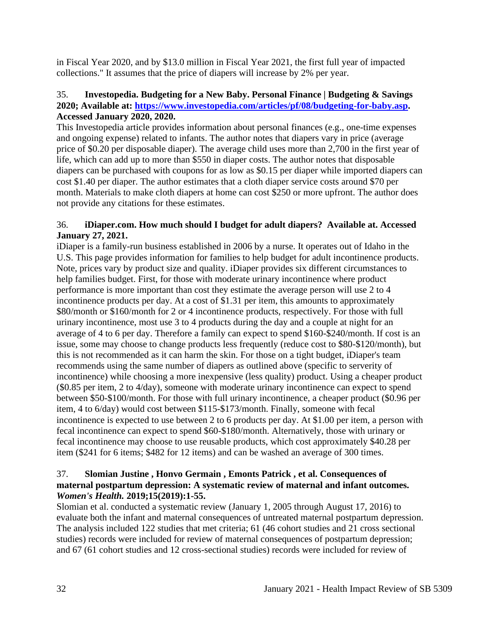in Fiscal Year 2020, and by \$13.0 million in Fiscal Year 2021, the first full year of impacted collections." It assumes that the price of diapers will increase by 2% per year.

### 35. **Investopedia. Budgeting for a New Baby. Personal Finance | Budgeting & Savings 2020; Available at: [https://www.investopedia.com/articles/pf/08/budgeting-for-baby.asp.](https://www.investopedia.com/articles/pf/08/budgeting-for-baby.asp) Accessed January 2020, 2020.**

This Investopedia article provides information about personal finances (e.g., one-time expenses and ongoing expense) related to infants. The author notes that diapers vary in price (average price of \$0.20 per disposable diaper). The average child uses more than 2,700 in the first year of life, which can add up to more than \$550 in diaper costs. The author notes that disposable diapers can be purchased with coupons for as low as \$0.15 per diaper while imported diapers can cost \$1.40 per diaper. The author estimates that a cloth diaper service costs around \$70 per month. Materials to make cloth diapers at home can cost \$250 or more upfront. The author does not provide any citations for these estimates.

### 36. **iDiaper.com. How much should I budget for adult diapers? Available at. Accessed January 27, 2021.**

iDiaper is a family-run business established in 2006 by a nurse. It operates out of Idaho in the U.S. This page provides information for families to help budget for adult incontinence products. Note, prices vary by product size and quality. iDiaper provides six different circumstances to help families budget. First, for those with moderate urinary incontinence where product performance is more important than cost they estimate the average person will use 2 to 4 incontinence products per day. At a cost of \$1.31 per item, this amounts to approximately \$80/month or \$160/month for 2 or 4 incontinence products, respectively. For those with full urinary incontinence, most use 3 to 4 products during the day and a couple at night for an average of 4 to 6 per day. Therefore a family can expect to spend \$160-\$240/month. If cost is an issue, some may choose to change products less frequently (reduce cost to \$80-\$120/month), but this is not recommended as it can harm the skin. For those on a tight budget, iDiaper's team recommends using the same number of diapers as outlined above (specific to serverity of incontinence) while choosing a more inexpensive (less quality) product. Using a cheaper product (\$0.85 per item, 2 to 4/day), someone with moderate urinary incontinence can expect to spend between \$50-\$100/month. For those with full urinary incontinence, a cheaper product (\$0.96 per item, 4 to 6/day) would cost between \$115-\$173/month. Finally, someone with fecal incontinence is expected to use between 2 to 6 products per day. At \$1.00 per item, a person with fecal incontinence can expect to spend \$60-\$180/month. Alternatively, those with urinary or fecal incontinence may choose to use reusable products, which cost approximately \$40.28 per item (\$241 for 6 items; \$482 for 12 items) and can be washed an average of 300 times.

### 37. **Slomian Justine , Honvo Germain , Emonts Patrick , et al. Consequences of maternal postpartum depression: A systematic review of maternal and infant outcomes.**  *Women's Health.* **2019;15(2019):1-55.**

Slomian et al. conducted a systematic review (January 1, 2005 through August 17, 2016) to evaluate both the infant and maternal consequences of untreated maternal postpartum depression. The analysis included 122 studies that met criteria; 61 (46 cohort studies and 21 cross sectional studies) records were included for review of maternal consequences of postpartum depression; and 67 (61 cohort studies and 12 cross-sectional studies) records were included for review of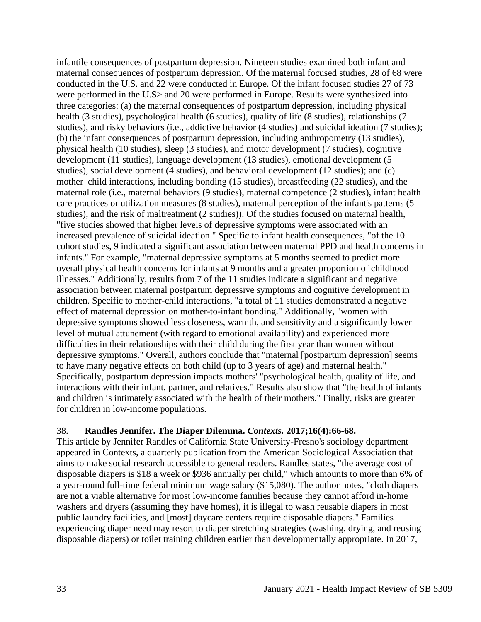infantile consequences of postpartum depression. Nineteen studies examined both infant and maternal consequences of postpartum depression. Of the maternal focused studies, 28 of 68 were conducted in the U.S. and 22 were conducted in Europe. Of the infant focused studies 27 of 73 were performed in the U.S> and 20 were performed in Europe. Results were synthesized into three categories: (a) the maternal consequences of postpartum depression, including physical health (3 studies), psychological health (6 studies), quality of life (8 studies), relationships (7 studies), and risky behaviors (i.e., addictive behavior (4 studies) and suicidal ideation (7 studies); (b) the infant consequences of postpartum depression, including anthropometry (13 studies), physical health (10 studies), sleep (3 studies), and motor development (7 studies), cognitive development (11 studies), language development (13 studies), emotional development (5 studies), social development (4 studies), and behavioral development (12 studies); and (c) mother–child interactions, including bonding (15 studies), breastfeeding (22 studies), and the maternal role (i.e., maternal behaviors (9 studies), maternal competence (2 studies), infant health care practices or utilization measures (8 studies), maternal perception of the infant's patterns (5 studies), and the risk of maltreatment (2 studies)). Of the studies focused on maternal health, "five studies showed that higher levels of depressive symptoms were associated with an increased prevalence of suicidal ideation." Specific to infant health consequences, "of the 10 cohort studies, 9 indicated a significant association between maternal PPD and health concerns in infants." For example, "maternal depressive symptoms at 5 months seemed to predict more overall physical health concerns for infants at 9 months and a greater proportion of childhood illnesses." Additionally, results from 7 of the 11 studies indicate a significant and negative association between maternal postpartum depressive symptoms and cognitive development in children. Specific to mother-child interactions, "a total of 11 studies demonstrated a negative effect of maternal depression on mother-to-infant bonding." Additionally, "women with depressive symptoms showed less closeness, warmth, and sensitivity and a significantly lower level of mutual attunement (with regard to emotional availability) and experienced more difficulties in their relationships with their child during the first year than women without depressive symptoms." Overall, authors conclude that "maternal [postpartum depression] seems to have many negative effects on both child (up to 3 years of age) and maternal health." Specifically, postpartum depression impacts mothers' "psychological health, quality of life, and interactions with their infant, partner, and relatives." Results also show that "the health of infants and children is intimately associated with the health of their mothers." Finally, risks are greater for children in low-income populations.

#### 38. **Randles Jennifer. The Diaper Dilemma.** *Contexts.* **2017;16(4):66-68.**

This article by Jennifer Randles of California State University-Fresno's sociology department appeared in Contexts, a quarterly publication from the American Sociological Association that aims to make social research accessible to general readers. Randles states, "the average cost of disposable diapers is \$18 a week or \$936 annually per child," which amounts to more than 6% of a year-round full-time federal minimum wage salary (\$15,080). The author notes, "cloth diapers are not a viable alternative for most low-income families because they cannot afford in-home washers and dryers (assuming they have homes), it is illegal to wash reusable diapers in most public laundry facilities, and [most] daycare centers require disposable diapers." Families experiencing diaper need may resort to diaper stretching strategies (washing, drying, and reusing disposable diapers) or toilet training children earlier than developmentally appropriate. In 2017,